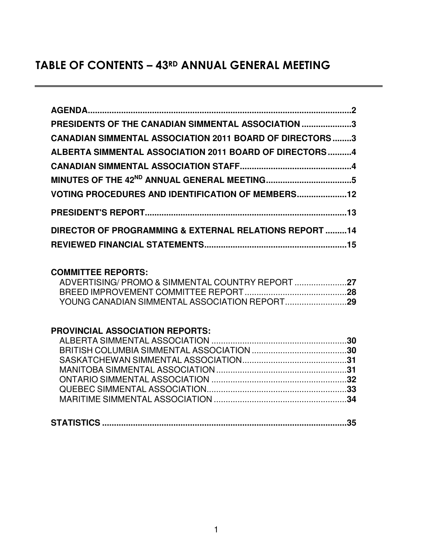# TABLE OF CONTENTS – 43<sup>RD</sup> ANNUAL GENERAL MEETING

| PRESIDENTS OF THE CANADIAN SIMMENTAL ASSOCIATION 3              |  |
|-----------------------------------------------------------------|--|
| <b>CANADIAN SIMMENTAL ASSOCIATION 2011 BOARD OF DIRECTORS 3</b> |  |
| ALBERTA SIMMENTAL ASSOCIATION 2011 BOARD OF DIRECTORS 4         |  |
|                                                                 |  |
|                                                                 |  |
| <b>VOTING PROCEDURES AND IDENTIFICATION OF MEMBERS12</b>        |  |
|                                                                 |  |
| DIRECTOR OF PROGRAMMING & EXTERNAL RELATIONS REPORT 14          |  |
|                                                                 |  |

## **COMMITTEE REPORTS:**

# **PROVINCIAL ASSOCIATION REPORTS:**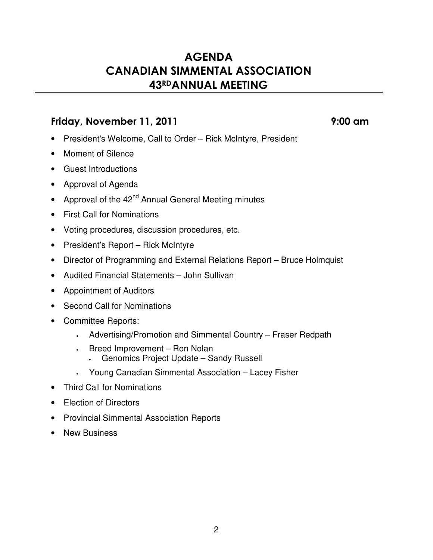# **AGENDA CANADIAN SIMMENTAL ASSOCIATION** 43RDANNUAL MEETING

# !" #\$""

- President's Welcome, Call to Order Rick McIntyre, President
- Moment of Silence
- Guest Introductions
- Approval of Agenda
- Approval of the 42<sup>nd</sup> Annual General Meeting minutes
- First Call for Nominations
- Voting procedures, discussion procedures, etc.
- President's Report Rick McIntyre
- Director of Programming and External Relations Report Bruce Holmquist
- Audited Financial Statements John Sullivan
- Appointment of Auditors
- Second Call for Nominations
- Committee Reports:
	- Advertising/Promotion and Simmental Country Fraser Redpath
	- Breed Improvement Ron Nolan
		- Genomics Project Update Sandy Russell
	- Young Canadian Simmental Association Lacey Fisher
- Third Call for Nominations
- Election of Directors
- Provincial Simmental Association Reports
- New Business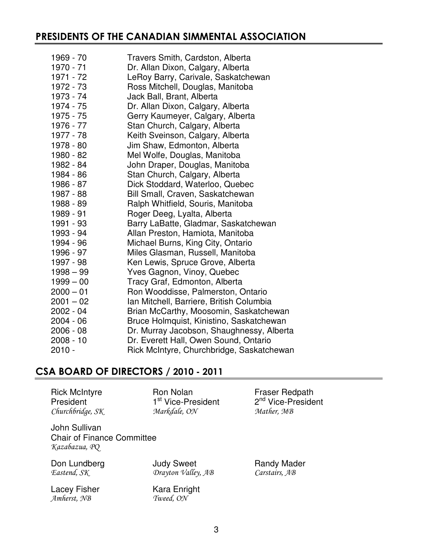# PRESIDENTS OF THE CANADIAN SIMMENTAL ASSOCIATION

| 1969 - 70   | Travers Smith, Cardston, Alberta          |
|-------------|-------------------------------------------|
| 1970 - 71   | Dr. Allan Dixon, Calgary, Alberta         |
| 1971 - 72   | LeRoy Barry, Carivale, Saskatchewan       |
| 1972 - 73   | Ross Mitchell, Douglas, Manitoba          |
| 1973 - 74   | Jack Ball, Brant, Alberta                 |
| 1974 - 75   | Dr. Allan Dixon, Calgary, Alberta         |
| 1975 - 75   | Gerry Kaumeyer, Calgary, Alberta          |
| 1976 - 77   | Stan Church, Calgary, Alberta             |
| 1977 - 78   | Keith Sveinson, Calgary, Alberta          |
| 1978 - 80   | Jim Shaw, Edmonton, Alberta               |
| 1980 - 82   | Mel Wolfe, Douglas, Manitoba              |
| 1982 - 84   | John Draper, Douglas, Manitoba            |
| 1984 - 86   | Stan Church, Calgary, Alberta             |
| 1986 - 87   | Dick Stoddard, Waterloo, Quebec           |
| 1987 - 88   | Bill Small, Craven, Saskatchewan          |
| 1988 - 89   | Ralph Whitfield, Souris, Manitoba         |
| 1989 - 91   | Roger Deeg, Lyalta, Alberta               |
| 1991 - 93   | Barry LaBatte, Gladmar, Saskatchewan      |
| 1993 - 94   | Allan Preston, Hamiota, Manitoba          |
| 1994 - 96   | Michael Burns, King City, Ontario         |
| 1996 - 97   | Miles Glasman, Russell, Manitoba          |
| 1997 - 98   | Ken Lewis, Spruce Grove, Alberta          |
| $1998 - 99$ | Yves Gagnon, Vinoy, Quebec                |
| $1999 - 00$ | Tracy Graf, Edmonton, Alberta             |
| $2000 - 01$ | Ron Wooddisse, Palmerston, Ontario        |
| $2001 - 02$ | Ian Mitchell, Barriere, British Columbia  |
| $2002 - 04$ | Brian McCarthy, Moosomin, Saskatchewan    |
| 2004 - 06   | Bruce Holmquist, Kinistino, Saskatchewan  |
| $2006 - 08$ | Dr. Murray Jacobson, Shaughnessy, Alberta |
| $2008 - 10$ | Dr. Everett Hall, Owen Sound, Ontario     |
| $2010 -$    | Rick McIntyre, Churchbridge, Saskatchewan |

# CSA BOARD OF DIRECTORS / 2010 - 201

Rick McIntyre **Ron Nolan Fraser Redpath** President 1<sup>st</sup> Vice-President 2<sup>nd</sup> Vice-President Churchbridge , SK Markdale, ON Math er, MB John Sullivan Chair of Finance Committee

Kazabazua, PQ Don Lundberg **Judy Sweet** Randy Mader Eastend, SK

Drayton Valley, AB

Lacey Fisher Kara Enright Amherst, NB Twe

ed, ON

Carstairs, AB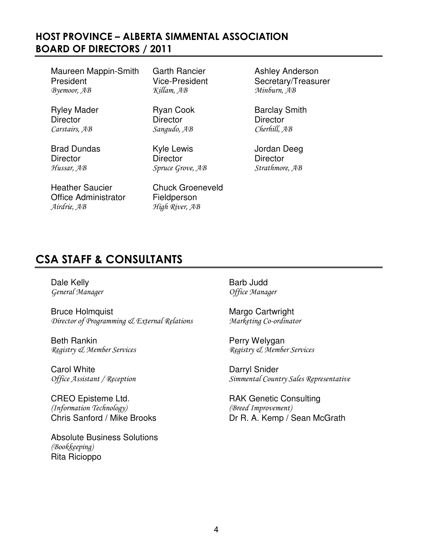# HOST PROVINCE – ALBERTA SIMMENTAL ASSOCIATION BOARD OF DIRECTORS / 201

Maureen Mappin-Smith Garth Rancier **Ashley Anderson** President Vice-President Secretary/Treasurer<br> *Byemoor*, AB *Killam*, AB *Minburn, AB* Byemoor, AB

Director Director Director Carstairs, AB Sangudo, AB

Brad Dundas Kyle Lewis Grad Dundas Kyle Lewis And Jordan Deeg Hussar, AB

Heather Saucier Chuck Groeneveld Office Administrator Fieldperson ! ! % -

Director Director Director Spruce Grove, AB

River, AB

Minburn, AB

Ryley Mader **Ryan Cook** Barclay Smith erhill, AB

, AB Strathmore, AB

# CSA STAFF & CONSULTANTS

Dale Kelly **Barb Judd** General Manage

Bruce Holmquist Margo Cartwright Director of Programming & External Relations Marke

Beth Rankin **Perry Welygan** Registry & Member Service

Carol White **Darryl Snider** Office Assistant / Rece

CREO Episteme Ltd. The CREO Episteme Ltd. RAK Genetic Consulting (Information Technology) (Bre

Absolute Business Solutions (Bookkeeping) Rita Ricioppo

r and the office Manager

Marketing Co-ordinator

 $\mathcal{R}$ e gistry & Member Services

ption Simmental Country Sales Representative

ed Improvement) Chris Sanford / Mike Brooks Dr R. A. Kemp / Sean McGrath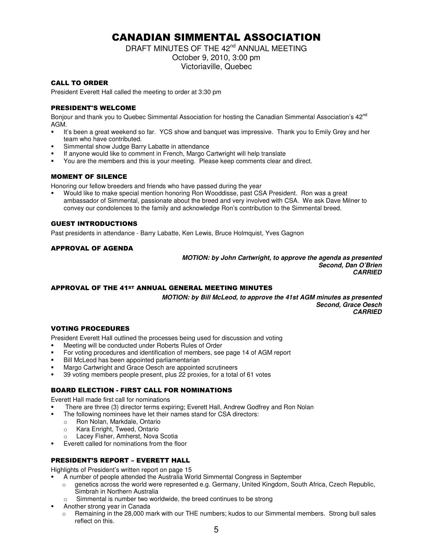# CANADIAN SIMMENTAL ASSOCIATION

DRAFT MINUTES OF THE 42<sup>nd</sup> ANNUAL MEETING October 9, 2010, 3:00 pm Victoriaville, Quebec

### **CALL TO ORDER**

President Everett Hall called the meeting to order at 3:30 pm

### **PRESIDENT'S WELCOME**

Bonjour and thank you to Quebec Simmental Association for hosting the Canadian Simmental Association's 42<sup>nd</sup> AGM.

- It's been a great weekend so far. YCS show and banquet was impressive. Thank you to Emily Grey and her team who have contributed.
- Simmental show Judge Barry Labatte in attendance
- If anyone would like to comment in French, Margo Cartwright will help translate
- You are the members and this is your meeting. Please keep comments clear and direct.

## **MOMENT OF SILENCE**

Honoring our fellow breeders and friends who have passed during the year

 Would like to make special mention honoring Ron Wooddisse, past CSA President. Ron was a great ambassador of Simmental, passionate about the breed and very involved with CSA. We ask Dave Milner to convey our condolences to the family and acknowledge Ron's contribution to the Simmental breed.

## **GUEST INTRODUCTIONS**

Past presidents in attendance - Barry Labatte, Ken Lewis, Bruce Holmquist, Yves Gagnon

## APPROVAL OF AGENDA

*MOTION: by John Cartwright, to approve the agenda as presented Second, Dan O'Brien CARRIED*

## APPROVAL OF THE 41ST ANNUAL GENERAL MEETING MINUTES

*MOTION: by Bill McLeod, to approve the 41st AGM minutes as presented Second, Grace Oesch CARRIED*

## **VOTING PROCEDURES**

President Everett Hall outlined the processes being used for discussion and voting

- Meeting will be conducted under Roberts Rules of Order
- For voting procedures and identification of members, see page 14 of AGM report
- Bill McLeod has been appointed parliamentarian
- Margo Cartwright and Grace Oesch are appointed scrutineers
- 39 voting members people present, plus 22 proxies, for a total of 61 votes

## BOARD ELECTION - FIRST CALL FOR NOMINATIONS

Everett Hall made first call for nominations

- There are three (3) director terms expiring; Everett Hall, Andrew Godfrey and Ron Nolan
- The following nominees have let their names stand for CSA directors:
	- o Ron Nolan, Markdale, Ontario
	- o Kara Enright, Tweed, Ontario
	- Lacey Fisher, Amherst, Nova Scotia
- Everett called for nominations from the floor

## PRESIDENT'S REPORT – EVERETT HALL

Highlights of President's written report on page 15

- A number of people attended the Australia World Simmental Congress in September
	- o genetics across the world were represented e.g. Germany, United Kingdom, South Africa, Czech Republic, Simbrah in Northern Australia
		- Simmental is number two worldwide, the breed continues to be strong
- Another strong year in Canada
	- o Remaining in the 28,000 mark with our THE numbers; kudos to our Simmental members. Strong bull sales reflect on this.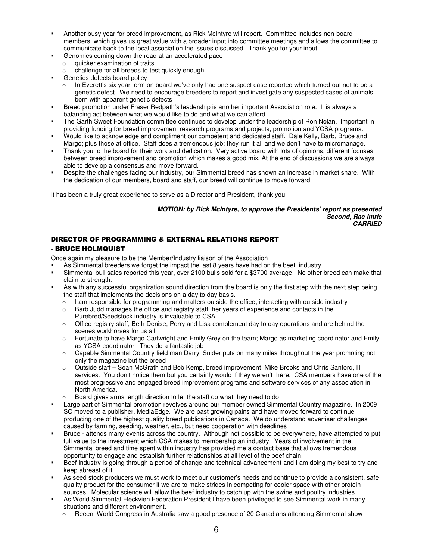- Another busy year for breed improvement, as Rick McIntyre will report. Committee includes non-board members, which gives us great value with a broader input into committee meetings and allows the committee to communicate back to the local association the issues discussed. Thank you for your input.
	- Genomics coming down the road at an accelerated pace
	- $\circ$  quicker examination of traits
	- challenge for all breeds to test quickly enough
- Genetics defects board policy
	- $\circ$  In Everett's six year term on board we've only had one suspect case reported which turned out not to be a genetic defect. We need to encourage breeders to report and investigate any suspected cases of animals born with apparent genetic defects
- Breed promotion under Fraser Redpath's leadership is another important Association role. It is always a balancing act between what we would like to do and what we can afford.
- The Garth Sweet Foundation committee continues to develop under the leadership of Ron Nolan. Important in providing funding for breed improvement research programs and projects, promotion and YCSA programs.
- Would like to acknowledge and compliment our competent and dedicated staff. Dale Kelly, Barb, Bruce and Margo; plus those at office. Staff does a tremendous job; they run it all and we don't have to micromanage.
- Thank you to the board for their work and dedication. Very active board with lots of opinions; different focuses between breed improvement and promotion which makes a good mix. At the end of discussions we are always able to develop a consensus and move forward.
- Despite the challenges facing our industry, our Simmental breed has shown an increase in market share. With the dedication of our members, board and staff, our breed will continue to move forward.

It has been a truly great experience to serve as a Director and President, thank you.

*MOTION: by Rick McIntyre, to approve the Presidents' report as presented Second, Rae Imrie CARRIED*

## DIRECTOR OF PROGRAMMING & EXTERNAL RELATIONS REPORT - BRUCE HOLMQUIST

Once again my pleasure to be the Member/Industry liaison of the Association

- As Simmental breeders we forget the impact the last 8 years have had on the beef industry
- Simmental bull sales reported this year, over 2100 bulls sold for a \$3700 average. No other breed can make that claim to strength.
- As with any successful organization sound direction from the board is only the first step with the next step being the staff that implements the decisions on a day to day basis.
	- o I am responsible for programming and matters outside the office; interacting with outside industry
	- $\circ$  Barb Judd manages the office and registry staff, her years of experience and contacts in the Purebred/Seedstock industry is invaluable to CSA
	- $\circ$  Office registry staff, Beth Denise, Perry and Lisa complement day to day operations and are behind the scenes workhorses for us all
	- o Fortunate to have Margo Cartwright and Emily Grey on the team; Margo as marketing coordinator and Emily as YCSA coordinator. They do a fantastic job
	- $\circ$  Capable Simmental Country field man Darryl Snider puts on many miles throughout the year promoting not only the magazine but the breed
	- o Outside staff Sean McGrath and Bob Kemp, breed improvement; Mike Brooks and Chris Sanford, IT services. You don't notice them but you certainly would if they weren't there. CSA members have one of the most progressive and engaged breed improvement programs and software services of any association in North America.
	- Board gives arms length direction to let the staff do what they need to do
- Large part of Simmental promotion revolves around our member owned Simmental Country magazine. In 2009 SC moved to a publisher, MediaEdge. We are past growing pains and have moved forward to continue producing one of the highest quality breed publications in Canada. We do understand advertiser challenges caused by farming, seeding, weather, etc., but need cooperation with deadlines
- Bruce attends many events across the country. Although not possible to be everywhere, have attempted to put full value to the investment which CSA makes to membership an industry. Years of involvement in the Simmental breed and time spent within industry has provided me a contact base that allows tremendous opportunity to engage and establish further relationships at all level of the beef chain.
- Beef industry is going through a period of change and technical advancement and I am doing my best to try and keep abreast of it.
- As seed stock producers we must work to meet our customer's needs and continue to provide a consistent, safe quality product for the consumer if we are to make strides in competing for cooler space with other protein sources. Molecular science will allow the beef industry to catch up with the swine and poultry industries.
- As World Simmental Fleckvieh Federation President I have been privileged to see Simmental work in many situations and different environment.
	- o Recent World Congress in Australia saw a good presence of 20 Canadians attending Simmental show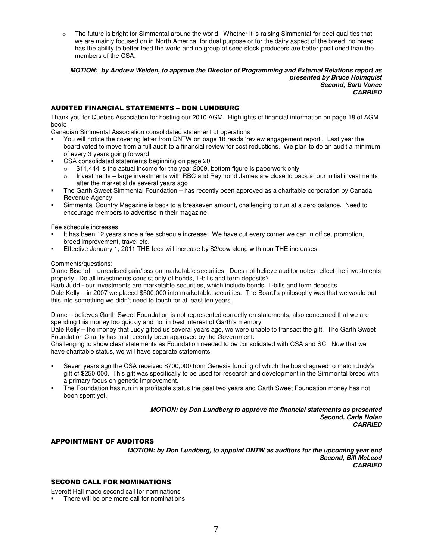$\circ$  The future is bright for Simmental around the world. Whether it is raising Simmental for beef qualities that we are mainly focused on in North America, for dual purpose or for the dairy aspect of the breed, no breed has the ability to better feed the world and no group of seed stock producers are better positioned than the members of the CSA.

*MOTION: by Andrew Welden, to approve the Director of Programming and External Relations report as presented by Bruce Holmquist Second, Barb Vance CARRIED*

### AUDITED FINANCIAL STATEMENTS – DON LUNDBURG

Thank you for Quebec Association for hosting our 2010 AGM. Highlights of financial information on page 18 of AGM book:

Canadian Simmental Association consolidated statement of operations

- You will notice the covering letter from DNTW on page 18 reads 'review engagement report'. Last year the board voted to move from a full audit to a financial review for cost reductions. We plan to do an audit a minimum of every 3 years going forward
- CSA consolidated statements beginning on page 20
	- $\circ$  \$11,444 is the actual income for the year 2009, bottom figure is paperwork only
	- $\circ$  Investments large investments with RBC and Raymond James are close to back at our initial investments after the market slide several years ago
- The Garth Sweet Simmental Foundation has recently been approved as a charitable corporation by Canada Revenue Agency
- Simmental Country Magazine is back to a breakeven amount, challenging to run at a zero balance. Need to encourage members to advertise in their magazine

Fee schedule increases

- It has been 12 years since a fee schedule increase. We have cut every corner we can in office, promotion, breed improvement, travel etc.
- Effective January 1, 2011 THE fees will increase by \$2/cow along with non-THE increases.

#### Comments/questions:

Diane Bischof – unrealised gain/loss on marketable securities. Does not believe auditor notes reflect the investments properly. Do all investments consist only of bonds, T-bills and term deposits?

Barb Judd - our investments are marketable securities, which include bonds, T-bills and term deposits Dale Kelly – in 2007 we placed \$500,000 into marketable securities. The Board's philosophy was that we would put this into something we didn't need to touch for at least ten years.

Diane – believes Garth Sweet Foundation is not represented correctly on statements, also concerned that we are spending this money too quickly and not in best interest of Garth's memory

Dale Kelly – the money that Judy gifted us several years ago, we were unable to transact the gift. The Garth Sweet Foundation Charity has just recently been approved by the Government.

Challenging to show clear statements as Foundation needed to be consolidated with CSA and SC. Now that we have charitable status, we will have separate statements.

- Seven years ago the CSA received \$700,000 from Genesis funding of which the board agreed to match Judy's gift of \$250,000. This gift was specifically to be used for research and development in the Simmental breed with a primary focus on genetic improvement.
- The Foundation has run in a profitable status the past two years and Garth Sweet Foundation money has not been spent yet.

#### *MOTION: by Don Lundberg to approve the financial statements as presented Second, Carla Nolan CARRIED*

## APPOINTMENT OF AUDITORS

*MOTION: by Don Lundberg, to appoint DNTW as auditors for the upcoming year end Second, Bill McLeod CARRIED*

#### SECOND CALL FOR NOMINATIONS

Everett Hall made second call for nominations

There will be one more call for nominations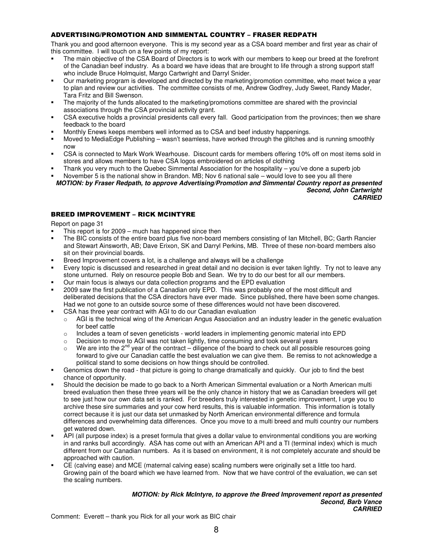## ADVERTISING/PROMOTION AND SIMMENTAL COUNTRY – FRASER REDPATH

Thank you and good afternoon everyone. This is my second year as a CSA board member and first year as chair of this committee. I will touch on a few points of my report:

- The main objective of the CSA Board of Directors is to work with our members to keep our breed at the forefront of the Canadian beef industry. As a board we have ideas that are brought to life through a strong support staff who include Bruce Holmquist, Margo Cartwright and Darryl Snider.
- Our marketing program is developed and directed by the marketing/promotion committee, who meet twice a year to plan and review our activities. The committee consists of me, Andrew Godfrey, Judy Sweet, Randy Mader, Tara Fritz and Bill Swenson.
- The majority of the funds allocated to the marketing/promotions committee are shared with the provincial associations through the CSA provincial activity grant.
- CSA executive holds a provincial presidents call every fall. Good participation from the provinces; then we share feedback to the board
- Monthly Enews keeps members well informed as to CSA and beef industry happenings.
- Moved to MediaEdge Publishing wasn't seamless, have worked through the glitches and is running smoothly now
- CSA is connected to Mark Work Wearhouse. Discount cards for members offering 10% off on most items sold in stores and allows members to have CSA logos embroidered on articles of clothing
- Thank you very much to the Quebec Simmental Association for the hospitality you've done a superb job
- November 5 is the national show in Brandon. MB; Nov 6 national sale would love to see you all there *MOTION: by Fraser Redpath, to approve Advertising/Promotion and Simmental Country report as presented*

*Second, John Cartwright CARRIED*

## BREED IMPROVEMENT – RICK MCINTYRE

Report on page 31

- This report is for 2009 much has happened since then
- The BIC consists of the entire board plus five non-board members consisting of Ian Mitchell, BC; Garth Rancier and Stewart Ainsworth, AB; Dave Erixon, SK and Darryl Perkins, MB. Three of these non-board members also sit on their provincial boards.
- Breed Improvement covers a lot, is a challenge and always will be a challenge
- Every topic is discussed and researched in great detail and no decision is ever taken lightly. Try not to leave any stone unturned. Rely on resource people Bob and Sean. We try to do our best for all our members.
- Our main focus is always our data collection programs and the EPD evaluation
- 2009 saw the first publication of a Canadian only EPD. This was probably one of the most difficult and deliberated decisions that the CSA directors have ever made. Since published, there have been some changes. Had we not gone to an outside source some of these differences would not have been discovered.
- CSA has three year contract with AGI to do our Canadian evaluation
	- $\circ$  AGI is the technical wing of the American Angus Association and an industry leader in the genetic evaluation for beef cattle
	- $\circ$  Includes a team of seven geneticists world leaders in implementing genomic material into EPD
	- $\circ$  Decision to move to AGI was not taken lightly, time consuming and took several years
	- $\circ$  We are into the 2<sup>nd</sup> year of the contract diligence of the board to check out all possible resources going forward to give our Canadian cattle the best evaluation we can give them. Be remiss to not acknowledge a political stand to some decisions on how things should be controlled.
- Genomics down the road that picture is going to change dramatically and quickly. Our job to find the best chance of opportunity.
- Should the decision be made to go back to a North American Simmental evaluation or a North American multi breed evaluation then these three years will be the only chance in history that we as Canadian breeders will get to see just how our own data set is ranked. For breeders truly interested in genetic improvement, I urge you to archive these sire summaries and your cow herd results, this is valuable information. This information is totally correct because it is just our data set unmasked by North American environmental difference and formula differences and overwhelming data differences. Once you move to a multi breed and multi country our numbers get watered down.
- API (all purpose index) is a preset formula that gives a dollar value to environmental conditions you are working in and ranks bull accordingly. ASA has come out with an American API and a TI (terminal index) which is much different from our Canadian numbers. As it is based on environment, it is not completely accurate and should be approached with caution.
- CE (calving ease) and MCE (maternal calving ease) scaling numbers were originally set a little too hard. Growing pain of the board which we have learned from. Now that we have control of the evaluation, we can set the scaling numbers.

#### *MOTION: by Rick McIntyre, to approve the Breed Improvement report as presented Second, Barb Vance CARRIED*

Comment: Everett – thank you Rick for all your work as BIC chair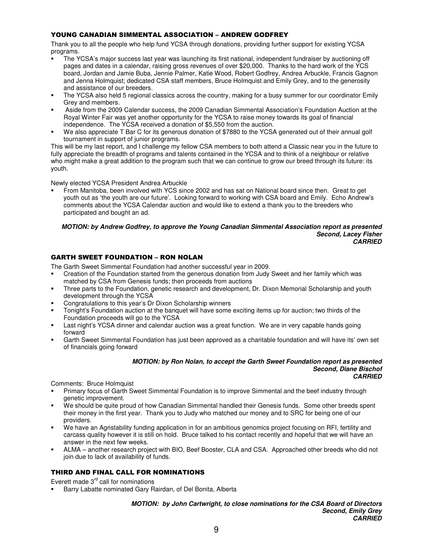## YOUNG CANADIAN SIMMENTAL ASSOCIATION – ANDREW GODFREY

Thank you to all the people who help fund YCSA through donations, providing further support for existing YCSA programs.

- The YCSA's major success last year was launching its first national, independent fundraiser by auctioning off pages and dates in a calendar, raising gross revenues of over \$20,000. Thanks to the hard work of the YCS board, Jordan and Jamie Buba, Jennie Palmer, Katie Wood, Robert Godfrey, Andrea Arbuckle, Francis Gagnon and Jenna Holmquist; dedicated CSA staff members, Bruce Holmquist and Emily Grey, and to the generosity and assistance of our breeders.
- The YCSA also held 5 regional classics across the country, making for a busy summer for our coordinator Emily Grey and members.
- Aside from the 2009 Calendar success, the 2009 Canadian Simmental Association's Foundation Auction at the Royal Winter Fair was yet another opportunity for the YCSA to raise money towards its goal of financial independence. The YCSA received a donation of \$5,550 from the auction.
- We also appreciate T Bar C for its generous donation of \$7880 to the YCSA generated out of their annual golf tournament in support of junior programs.

This will be my last report, and I challenge my fellow CSA members to both attend a Classic near you in the future to fully appreciate the breadth of programs and talents contained in the YCSA and to think of a neighbour or relative who might make a great addition to the program such that we can continue to grow our breed through its future: its youth.

Newly elected YCSA President Andrea Arbuckle

 From Manitoba, been involved with YCS since 2002 and has sat on National board since then. Great to get youth out as 'the youth are our future'. Looking forward to working with CSA board and Emily. Echo Andrew's comments about the YCSA Calendar auction and would like to extend a thank you to the breeders who participated and bought an ad.

#### *MOTION: by Andrew Godfrey, to approve the Young Canadian Simmental Association report as presented Second, Lacey Fisher CARRIED*

## GARTH SWEET FOUNDATION – RON NOLAN

The Garth Sweet Simmental Foundation had another successful year in 2009.

- Creation of the Foundation started from the generous donation from Judy Sweet and her family which was matched by CSA from Genesis funds; then proceeds from auctions
- Three parts to the Foundation, genetic research and development, Dr. Dixon Memorial Scholarship and youth development through the YCSA
- Congratulations to this year's Dr Dixon Scholarship winners
- Tonight's Foundation auction at the banquet will have some exciting items up for auction; two thirds of the Foundation proceeds will go to the YCSA
- Last night's YCSA dinner and calendar auction was a great function. We are in very capable hands going forward
- Garth Sweet Simmental Foundation has just been approved as a charitable foundation and will have its' own set of financials going forward

#### *MOTION: by Ron Nolan, to accept the Garth Sweet Foundation report as presented Second, Diane Bischof CARRIED*

Comments: Bruce Holmquist

- Primary focus of Garth Sweet Simmental Foundation is to improve Simmental and the beef industry through genetic improvement.
- We should be quite proud of how Canadian Simmental handled their Genesis funds. Some other breeds spent their money in the first year. Thank you to Judy who matched our money and to SRC for being one of our providers.
- We have an Agristability funding application in for an ambitious genomics project focusing on RFI, fertility and carcass quality however it is still on hold. Bruce talked to his contact recently and hopeful that we will have an answer in the next few weeks.
- ALMA another research project with BIO, Beef Booster, CLA and CSA. Approached other breeds who did not join due to lack of availability of funds.

## THIRD AND FINAL CALL FOR NOMINATIONS

Everett made 3<sup>rd</sup> call for nominations

Barry Labatte nominated Gary Rairdan, of Del Bonita, Alberta

*MOTION: by John Cartwright, to close nominations for the CSA Board of Directors Second, Emily Grey CARRIED*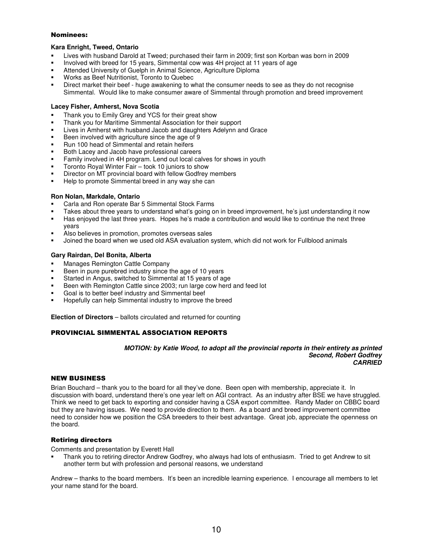#### Nominees:

## **Kara Enright, Tweed, Ontario**

- Lives with husband Darold at Tweed; purchased their farm in 2009; first son Korban was born in 2009
- Involved with breed for 15 years, Simmental cow was 4H project at 11 years of age
- Attended University of Guelph in Animal Science, Agriculture Diploma
- Works as Beef Nutritionist, Toronto to Quebec
- Direct market their beef huge awakening to what the consumer needs to see as they do not recognise Simmental. Would like to make consumer aware of Simmental through promotion and breed improvement

### **Lacey Fisher, Amherst, Nova Scotia**

- Thank you to Emily Grey and YCS for their great show
- Thank you for Maritime Simmental Association for their support
- Lives in Amherst with husband Jacob and daughters Adelynn and Grace
- Been involved with agriculture since the age of 9
- Run 100 head of Simmental and retain heifers
- Both Lacey and Jacob have professional careers
- Family involved in 4H program. Lend out local calves for shows in youth
- Toronto Royal Winter Fair took 10 juniors to show
- Director on MT provincial board with fellow Godfrey members
- Help to promote Simmental breed in any way she can

### **Ron Nolan, Markdale, Ontario**

- Carla and Ron operate Bar 5 Simmental Stock Farms
- Takes about three years to understand what's going on in breed improvement, he's just understanding it now
- Has enjoyed the last three years. Hopes he's made a contribution and would like to continue the next three years
- Also believes in promotion, promotes overseas sales
- Joined the board when we used old ASA evaluation system, which did not work for Fullblood animals

### **Gary Rairdan, Del Bonita, Alberta**

- Manages Remington Cattle Company
- Been in pure purebred industry since the age of 10 years
- Started in Angus, switched to Simmental at 15 years of age
- Been with Remington Cattle since 2003; run large cow herd and feed lot
- Goal is to better beef industry and Simmental beef
- Hopefully can help Simmental industry to improve the breed

**Election of Directors** – ballots circulated and returned for counting

## PROVINCIAL SIMMENTAL ASSOCIATION REPORTS

#### *MOTION: by Katie Wood, to adopt all the provincial reports in their entirety as printed Second, Robert Godfrey CARRIED*

#### **NEW BUSINESS**

Brian Bouchard – thank you to the board for all they've done. Been open with membership, appreciate it. In discussion with board, understand there's one year left on AGI contract. As an industry after BSE we have struggled. Think we need to get back to exporting and consider having a CSA export committee. Randy Mader on CBBC board but they are having issues. We need to provide direction to them. As a board and breed improvement committee need to consider how we position the CSA breeders to their best advantage. Great job, appreciate the openness on the board.

## **Retiring directors**

Comments and presentation by Everett Hall

 Thank you to retiring director Andrew Godfrey, who always had lots of enthusiasm. Tried to get Andrew to sit another term but with profession and personal reasons, we understand

Andrew – thanks to the board members. It's been an incredible learning experience. I encourage all members to let your name stand for the board.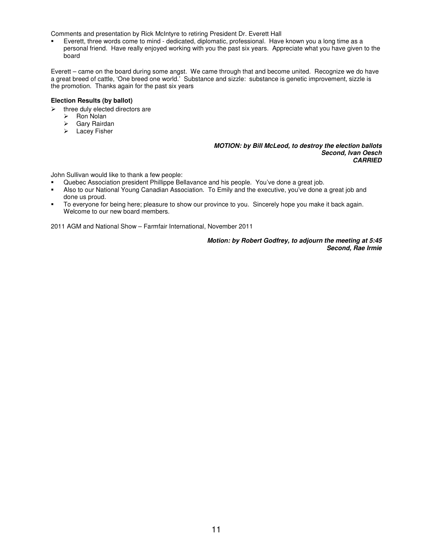Comments and presentation by Rick McIntyre to retiring President Dr. Everett Hall

 Everett, three words come to mind - dedicated, diplomatic, professional. Have known you a long time as a personal friend. Have really enjoyed working with you the past six years. Appreciate what you have given to the board

Everett – came on the board during some angst. We came through that and become united. Recognize we do have a great breed of cattle, 'One breed one world.' Substance and sizzle: substance is genetic improvement, sizzle is the promotion. Thanks again for the past six years

#### **Election Results (by ballot)**

- $\blacktriangleright$  three duly elected directors are
	- > Ron Nolan
	- $\triangleright$ Gary Rairdan
	- > Lacey Fisher

*MOTION: by Bill McLeod, to destroy the election ballots Second, Ivan Oesch CARRIED*

John Sullivan would like to thank a few people:

- Quebec Association president Phillippe Bellavance and his people. You've done a great job.
- Also to our National Young Canadian Association. To Emily and the executive, you've done a great job and done us proud.
- To everyone for being here; pleasure to show our province to you. Sincerely hope you make it back again. Welcome to our new board members.

2011 AGM and National Show – Farmfair International, November 2011

*Motion: by Robert Godfrey, to adjourn the meeting at 5:45 Second, Rae Irmie*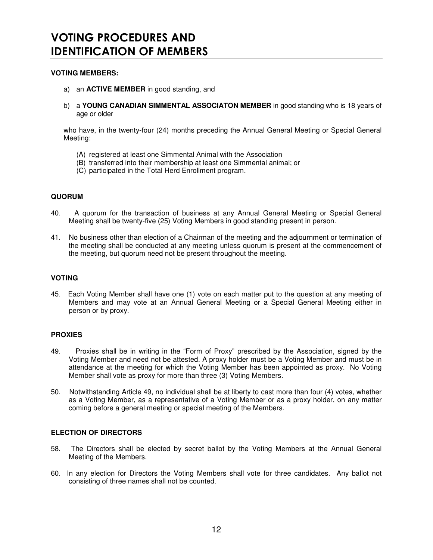## **VOTING MEMBERS:**

- a) an **ACTIVE MEMBER** in good standing, and
- b) a **YOUNG CANADIAN SIMMENTAL ASSOCIATON MEMBER** in good standing who is 18 years of age or older

who have, in the twenty-four (24) months preceding the Annual General Meeting or Special General Meeting:

- (A) registered at least one Simmental Animal with the Association
- (B) transferred into their membership at least one Simmental animal; or
- (C) participated in the Total Herd Enrollment program.

## **QUORUM**

- 40. A quorum for the transaction of business at any Annual General Meeting or Special General Meeting shall be twenty-five (25) Voting Members in good standing present in person.
- 41. No business other than election of a Chairman of the meeting and the adjournment or termination of the meeting shall be conducted at any meeting unless quorum is present at the commencement of the meeting, but quorum need not be present throughout the meeting.

## **VOTING**

45. Each Voting Member shall have one (1) vote on each matter put to the question at any meeting of Members and may vote at an Annual General Meeting or a Special General Meeting either in person or by proxy.

## **PROXIES**

- 49. Proxies shall be in writing in the "Form of Proxy" prescribed by the Association, signed by the Voting Member and need not be attested. A proxy holder must be a Voting Member and must be in attendance at the meeting for which the Voting Member has been appointed as proxy. No Voting Member shall vote as proxy for more than three (3) Voting Members.
- 50. Notwithstanding Article 49, no individual shall be at liberty to cast more than four (4) votes, whether as a Voting Member, as a representative of a Voting Member or as a proxy holder, on any matter coming before a general meeting or special meeting of the Members.

## **ELECTION OF DIRECTORS**

- 58. The Directors shall be elected by secret ballot by the Voting Members at the Annual General Meeting of the Members.
- 60. In any election for Directors the Voting Members shall vote for three candidates. Any ballot not consisting of three names shall not be counted.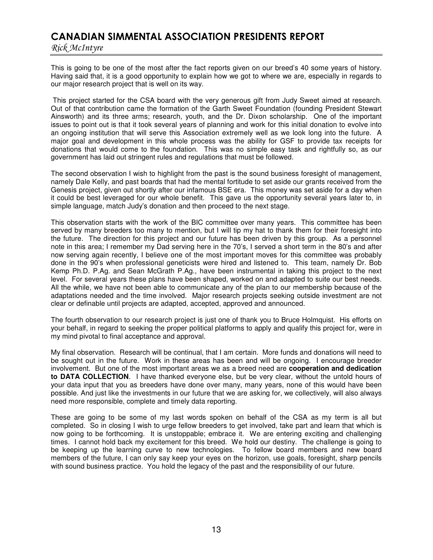# CANADIAN SIMMENTAL ASSOCIATION PRESIDENTS REPORT

Rick McIntyre

This is going to be one of the most after the fact reports given on our breed's 40 some years of history. Having said that, it is a good opportunity to explain how we got to where we are, especially in regards to our major research project that is well on its way.

This project started for the CSA board with the very generous gift from Judy Sweet aimed at research. Out of that contribution came the formation of the Garth Sweet Foundation (founding President Stewart Ainsworth) and its three arms; research, youth, and the Dr. Dixon scholarship. One of the important issues to point out is that it took several years of planning and work for this initial donation to evolve into an ongoing institution that will serve this Association extremely well as we look long into the future. A major goal and development in this whole process was the ability for GSF to provide tax receipts for donations that would come to the foundation. This was no simple easy task and rightfully so, as our government has laid out stringent rules and regulations that must be followed.

The second observation I wish to highlight from the past is the sound business foresight of management, namely Dale Kelly, and past boards that had the mental fortitude to set aside our grants received from the Genesis project, given out shortly after our infamous BSE era. This money was set aside for a day when it could be best leveraged for our whole benefit. This gave us the opportunity several years later to, in simple language, match Judy's donation and then proceed to the next stage.

This observation starts with the work of the BIC committee over many years. This committee has been served by many breeders too many to mention, but I will tip my hat to thank them for their foresight into the future. The direction for this project and our future has been driven by this group. As a personnel note in this area; I remember my Dad serving here in the 70's, I served a short term in the 80's and after now serving again recently, I believe one of the most important moves for this committee was probably done in the 90's when professional geneticists were hired and listened to. This team, namely Dr. Bob Kemp Ph.D. P.Ag. and Sean McGrath P.Ag., have been instrumental in taking this project to the next level. For several years these plans have been shaped, worked on and adapted to suite our best needs. All the while, we have not been able to communicate any of the plan to our membership because of the adaptations needed and the time involved. Major research projects seeking outside investment are not clear or definable until projects are adapted, accepted, approved and announced.

The fourth observation to our research project is just one of thank you to Bruce Holmquist. His efforts on your behalf, in regard to seeking the proper political platforms to apply and qualify this project for, were in my mind pivotal to final acceptance and approval.

My final observation. Research will be continual, that I am certain. More funds and donations will need to be sought out in the future. Work in these areas has been and will be ongoing. I encourage breeder involvement. But one of the most important areas we as a breed need are **cooperation and dedication to DATA COLLECTION**. I have thanked everyone else, but be very clear, without the untold hours of your data input that you as breeders have done over many, many years, none of this would have been possible. And just like the investments in our future that we are asking for, we collectively, will also always need more responsible, complete and timely data reporting.

These are going to be some of my last words spoken on behalf of the CSA as my term is all but completed. So in closing I wish to urge fellow breeders to get involved, take part and learn that which is now going to be forthcoming. It is unstoppable; embrace it. We are entering exciting and challenging times. I cannot hold back my excitement for this breed. We hold our destiny. The challenge is going to be keeping up the learning curve to new technologies. To fellow board members and new board members of the future, I can only say keep your eyes on the horizon, use goals, foresight, sharp pencils with sound business practice. You hold the legacy of the past and the responsibility of our future.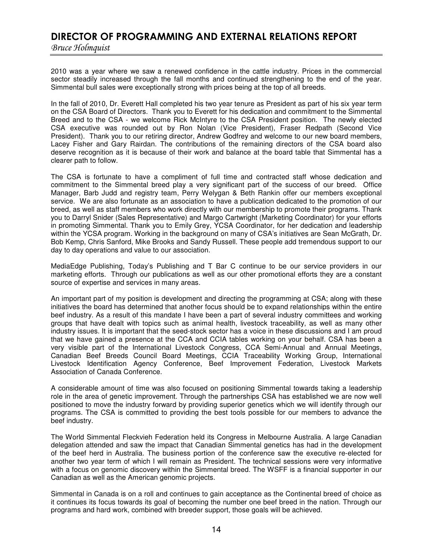# DIRECTOR OF PROGRAMMING AND EXTERNAL RELATIONS REPORT

Bruce Holmquist

2010 was a year where we saw a renewed confidence in the cattle industry. Prices in the commercial sector steadily increased through the fall months and continued strengthening to the end of the year. Simmental bull sales were exceptionally strong with prices being at the top of all breeds.

In the fall of 2010, Dr. Everett Hall completed his two year tenure as President as part of his six year term on the CSA Board of Directors. Thank you to Everett for his dedication and commitment to the Simmental Breed and to the CSA - we welcome Rick McIntyre to the CSA President position. The newly elected CSA executive was rounded out by Ron Nolan (Vice President), Fraser Redpath (Second Vice President). Thank you to our retiring director, Andrew Godfrey and welcome to our new board members, Lacey Fisher and Gary Rairdan. The contributions of the remaining directors of the CSA board also deserve recognition as it is because of their work and balance at the board table that Simmental has a clearer path to follow.

The CSA is fortunate to have a compliment of full time and contracted staff whose dedication and commitment to the Simmental breed play a very significant part of the success of our breed. Office Manager, Barb Judd and registry team, Perry Welygan & Beth Rankin offer our members exceptional service. We are also fortunate as an association to have a publication dedicated to the promotion of our breed, as well as staff members who work directly with our membership to promote their programs. Thank you to Darryl Snider (Sales Representative) and Margo Cartwright (Marketing Coordinator) for your efforts in promoting Simmental. Thank you to Emily Grey, YCSA Coordinator, for her dedication and leadership within the YCSA program. Working in the background on many of CSA's initiatives are Sean McGrath, Dr. Bob Kemp, Chris Sanford, Mike Brooks and Sandy Russell. These people add tremendous support to our day to day operations and value to our association.

MediaEdge Publishing, Today's Publishing and T Bar C continue to be our service providers in our marketing efforts. Through our publications as well as our other promotional efforts they are a constant source of expertise and services in many areas.

An important part of my position is development and directing the programming at CSA; along with these initiatives the board has determined that another focus should be to expand relationships within the entire beef industry. As a result of this mandate I have been a part of several industry committees and working groups that have dealt with topics such as animal health, livestock traceability, as well as many other industry issues. It is important that the seed-stock sector has a voice in these discussions and I am proud that we have gained a presence at the CCA and CCIA tables working on your behalf. CSA has been a very visible part of the International Livestock Congress, CCA Semi-Annual and Annual Meetings, Canadian Beef Breeds Council Board Meetings, CCIA Traceability Working Group, International Livestock Identification Agency Conference, Beef Improvement Federation, Livestock Markets Association of Canada Conference.

A considerable amount of time was also focused on positioning Simmental towards taking a leadership role in the area of genetic improvement. Through the partnerships CSA has established we are now well positioned to move the industry forward by providing superior genetics which we will identify through our programs. The CSA is committed to providing the best tools possible for our members to advance the beef industry.

The World Simmental Fleckvieh Federation held its Congress in Melbourne Australia. A large Canadian delegation attended and saw the impact that Canadian Simmental genetics has had in the development of the beef herd in Australia. The business portion of the conference saw the executive re-elected for another two year term of which I will remain as President. The technical sessions were very informative with a focus on genomic discovery within the Simmental breed. The WSFF is a financial supporter in our Canadian as well as the American genomic projects.

Simmental in Canada is on a roll and continues to gain acceptance as the Continental breed of choice as it continues its focus towards its goal of becoming the number one beef breed in the nation. Through our programs and hard work, combined with breeder support, those goals will be achieved.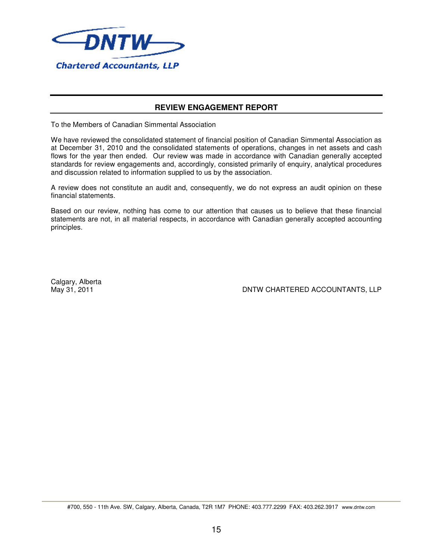

## **REVIEW ENGAGEMENT REPORT**

To the Members of Canadian Simmental Association

We have reviewed the consolidated statement of financial position of Canadian Simmental Association as at December 31, 2010 and the consolidated statements of operations, changes in net assets and cash flows for the year then ended. Our review was made in accordance with Canadian generally accepted standards for review engagements and, accordingly, consisted primarily of enquiry, analytical procedures and discussion related to information supplied to us by the association.

A review does not constitute an audit and, consequently, we do not express an audit opinion on these financial statements.

Based on our review, nothing has come to our attention that causes us to believe that these financial statements are not, in all material respects, in accordance with Canadian generally accepted accounting principles.

Calgary, Alberta

May 31, 2011 DNTW CHARTERED ACCOUNTANTS, LLP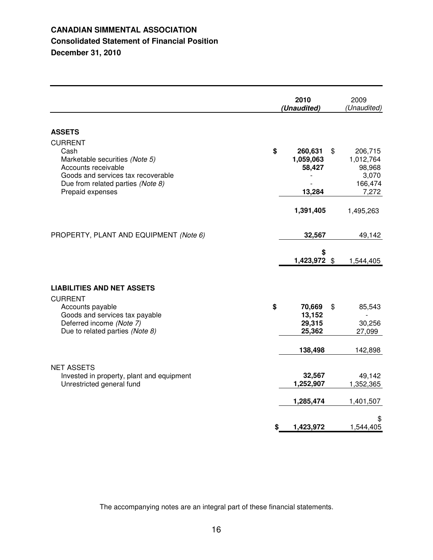## **CANADIAN SIMMENTAL ASSOCIATION Consolidated Statement of Financial Position December 31, 2010**

|                                                                                                                                                                                | 2010<br>(Unaudited)                            | 2009<br>(Unaudited)                                               |
|--------------------------------------------------------------------------------------------------------------------------------------------------------------------------------|------------------------------------------------|-------------------------------------------------------------------|
| <b>ASSETS</b>                                                                                                                                                                  |                                                |                                                                   |
| <b>CURRENT</b><br>Cash<br>Marketable securities (Note 5)<br>Accounts receivable<br>Goods and services tax recoverable<br>Due from related parties (Note 8)<br>Prepaid expenses | \$<br>260,631<br>1,059,063<br>58,427<br>13,284 | \$<br>206,715<br>1,012,764<br>98,968<br>3,070<br>166,474<br>7,272 |
|                                                                                                                                                                                | 1,391,405                                      | 1,495,263                                                         |
| PROPERTY, PLANT AND EQUIPMENT (Note 6)                                                                                                                                         | 32,567                                         | 49,142                                                            |
|                                                                                                                                                                                | \$<br>1,423,972 \$                             | 1,544,405                                                         |
| <b>LIABILITIES AND NET ASSETS</b>                                                                                                                                              |                                                |                                                                   |
| <b>CURRENT</b><br>Accounts payable<br>Goods and services tax payable<br>Deferred income (Note 7)<br>Due to related parties (Note 8)                                            | \$<br>70,669<br>13,152<br>29,315<br>25,362     | \$<br>85,543<br>30,256<br>27,099                                  |
|                                                                                                                                                                                | 138,498                                        | 142,898                                                           |
| <b>NET ASSETS</b><br>Invested in property, plant and equipment<br>Unrestricted general fund                                                                                    | 32,567<br>1,252,907                            | 49,142<br>1,352,365                                               |
|                                                                                                                                                                                | 1,285,474                                      | 1,401,507                                                         |
|                                                                                                                                                                                | \$<br>1,423,972                                | \$<br>1,544,405                                                   |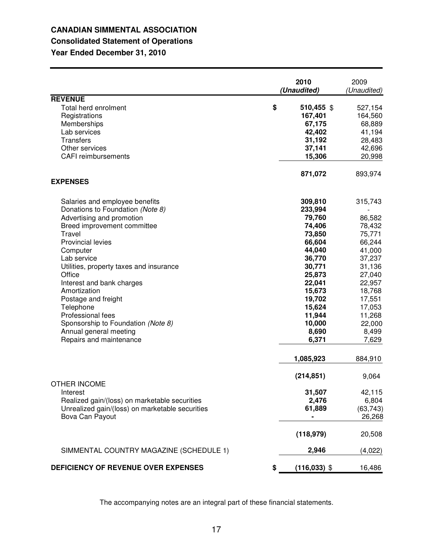# **CANADIAN SIMMENTAL ASSOCIATION Consolidated Statement of Operations**

**Year Ended December 31, 2010**

|                                                                                                                                                                                                                                                                                                                                                                                                                                                       | 2010<br>(Unaudited)                                                                                                                                                                           | 2009<br>(Unaudited)                                                                                                                                                              |
|-------------------------------------------------------------------------------------------------------------------------------------------------------------------------------------------------------------------------------------------------------------------------------------------------------------------------------------------------------------------------------------------------------------------------------------------------------|-----------------------------------------------------------------------------------------------------------------------------------------------------------------------------------------------|----------------------------------------------------------------------------------------------------------------------------------------------------------------------------------|
| <b>REVENUE</b><br>Total herd enrolment<br>Registrations<br>Memberships<br>Lab services<br><b>Transfers</b><br>Other services<br><b>CAFI</b> reimbursements                                                                                                                                                                                                                                                                                            | \$<br>510,455 \$<br>167,401<br>67,175<br>42,402<br>31,192<br>37,141<br>15,306                                                                                                                 | 527,154<br>164,560<br>68,889<br>41,194<br>28,483<br>42,696<br>20,998                                                                                                             |
| <b>EXPENSES</b>                                                                                                                                                                                                                                                                                                                                                                                                                                       | 871,072                                                                                                                                                                                       | 893,974                                                                                                                                                                          |
| Salaries and employee benefits<br>Donations to Foundation (Note 8)<br>Advertising and promotion<br>Breed improvement committee<br>Travel<br><b>Provincial levies</b><br>Computer<br>Lab service<br>Utilities, property taxes and insurance<br>Office<br>Interest and bank charges<br>Amortization<br>Postage and freight<br>Telephone<br>Professional fees<br>Sponsorship to Foundation (Note 8)<br>Annual general meeting<br>Repairs and maintenance | 309,810<br>233,994<br>79,760<br>74,406<br>73,850<br>66,604<br>44,040<br>36,770<br>30,771<br>25,873<br>22,041<br>15,673<br>19,702<br>15,624<br>11,944<br>10,000<br>8,690<br>6,371<br>1,085,923 | 315,743<br>86,582<br>78,432<br>75,771<br>66,244<br>41,000<br>37,237<br>31,136<br>27,040<br>22,957<br>18,768<br>17,551<br>17,053<br>11,268<br>22,000<br>8,499<br>7,629<br>884,910 |
| <b>OTHER INCOME</b><br>Interest<br>Realized gain/(loss) on marketable securities<br>Unrealized gain/(loss) on marketable securities<br>Bova Can Payout                                                                                                                                                                                                                                                                                                | (214, 851)<br>31,507<br>2,476<br>61,889<br>(118, 979)                                                                                                                                         | 9,064<br>42,115<br>6,804<br>(63, 743)<br>26,268<br>20,508                                                                                                                        |
| SIMMENTAL COUNTRY MAGAZINE (SCHEDULE 1)                                                                                                                                                                                                                                                                                                                                                                                                               | 2,946                                                                                                                                                                                         | (4,022)                                                                                                                                                                          |
| DEFICIENCY OF REVENUE OVER EXPENSES                                                                                                                                                                                                                                                                                                                                                                                                                   | \$<br>$(116,033)$ \$                                                                                                                                                                          | 16,486                                                                                                                                                                           |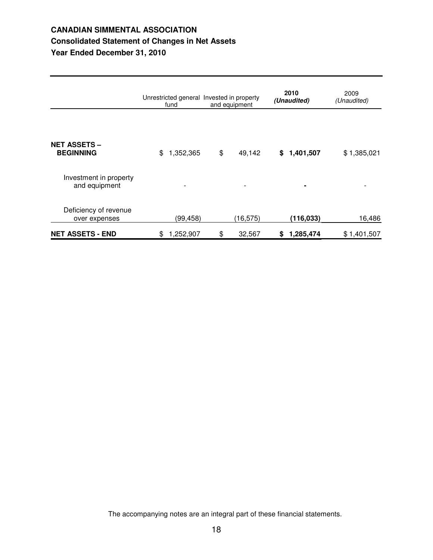# **CANADIAN SIMMENTAL ASSOCIATION Consolidated Statement of Changes in Net Assets Year Ended December 31, 2010**

|                                         | Unrestricted general Invested in property<br>fund | and equipment | 2010<br>(Unaudited)       | 2009<br>(Unaudited) |
|-----------------------------------------|---------------------------------------------------|---------------|---------------------------|---------------------|
|                                         |                                                   |               |                           |                     |
| <b>NET ASSETS –</b><br><b>BEGINNING</b> | \$<br>1,352,365                                   | \$            | 49,142<br>1,401,507<br>S. | \$1,385,021         |
| Investment in property<br>and equipment | ۰                                                 |               | ٠                         |                     |
| Deficiency of revenue<br>over expenses  | (99,458)                                          |               | (116, 033)<br>(16, 575)   | 16,486              |
| <b>NET ASSETS - END</b>                 | 1,252,907<br>\$                                   | \$            | 32,567<br>1,285,474<br>S  | \$1,401,507         |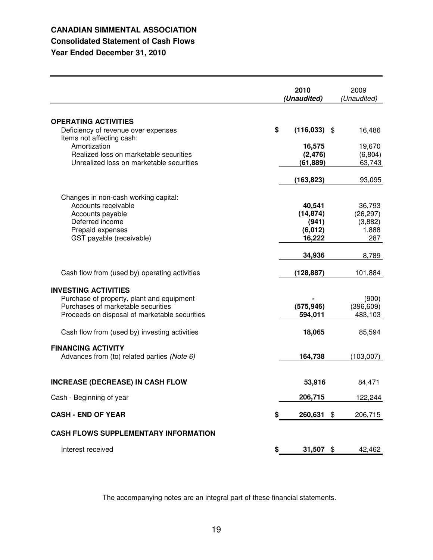## **CANADIAN SIMMENTAL ASSOCIATION Consolidated Statement of Cash Flows**

# **Year Ended December 31, 2010**

**2010** 2009<br> **Property** *(Unaudited) (Unaudited) (Unaudited)* **OPERATING ACTIVITIES** Deficiency of revenue over expenses **\$ (116,033)** \$ 16,486 Items not affecting cash: Amortization **16,575** 19,670 Realized loss on marketable securities (2,476) (6,804)<br>Unrealized loss on marketable securities (61,889) (63,743 Unrealized loss on marketable securities **(61,889)** 63,743 **(163,823)** 93,095 Changes in non-cash working capital: Accounts receivable **40,541** 36,793<br>Accounts payable **40,541** 36,793<br>(14,874) 36,297) Accounts payable **(14,874)** (14,874) Deferred income (941) (3,882)<br>
Prepaid expenses (6,012) (3,882) **Prepaid expenses** GST payable (receivable) **16,222** 287 **34,936** 8,789 Cash flow from (used by) operating activities **(128,887)** 101,884 **INVESTING ACTIVITIES** Purchase of property, plant and equipment **-** (900) Purchases of marketable securities **(575,946)** (396,609)<br>Proceeds on disposal of marketable securities **(575,946)** (396,609) Proceeds on disposal of marketable securities **594,011** 483,103 Cash flow from (used by) investing activities **18,065** 85,594 **FINANCING ACTIVITY** Advances from (to) related parties *(Note 6)* **164,738** (103,007) **INCREASE (DECREASE) IN CASH FLOW 53,916** 84,471 Cash - Beginning of year **206,715** 122,244 **CASH - END OF YEAR \$ 260,631** \$ 206,715 **CASH FLOWS SUPPLEMENTARY INFORMATION** Interest received **\$ 31,507** \$ 42,462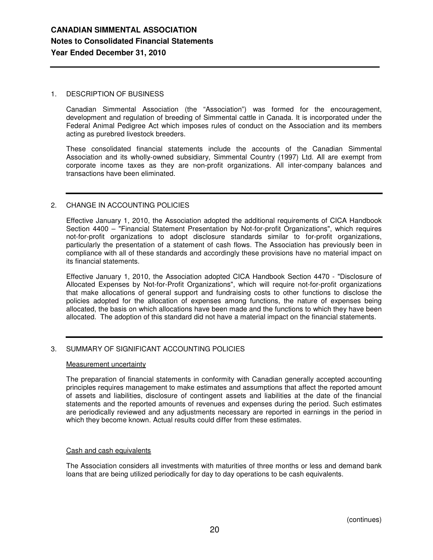## 1. DESCRIPTION OF BUSINESS

Canadian Simmental Association (the "Association") was formed for the encouragement, development and regulation of breeding of Simmental cattle in Canada. It is incorporated under the Federal Animal Pedigree Act which imposes rules of conduct on the Association and its members acting as purebred livestock breeders.

These consolidated financial statements include the accounts of the Canadian Simmental Association and its wholly-owned subsidiary, Simmental Country (1997) Ltd. All are exempt from corporate income taxes as they are non-profit organizations. All inter-company balances and transactions have been eliminated.

## 2. CHANGE IN ACCOUNTING POLICIES

Effective January 1, 2010, the Association adopted the additional requirements of CICA Handbook Section 4400 – "Financial Statement Presentation by Not-for-profit Organizations", which requires not-for-profit organizations to adopt disclosure standards similar to for-profit organizations, particularly the presentation of a statement of cash flows. The Association has previously been in compliance with all of these standards and accordingly these provisions have no material impact on its financial statements.

Effective January 1, 2010, the Association adopted CICA Handbook Section 4470 - "Disclosure of Allocated Expenses by Not-for-Profit Organizations", which will require not-for-profit organizations that make allocations of general support and fundraising costs to other functions to disclose the policies adopted for the allocation of expenses among functions, the nature of expenses being allocated, the basis on which allocations have been made and the functions to which they have been allocated. The adoption of this standard did not have a material impact on the financial statements.

## 3. SUMMARY OF SIGNIFICANT ACCOUNTING POLICIES

## Measurement uncertainty

The preparation of financial statements in conformity with Canadian generally accepted accounting principles requires management to make estimates and assumptions that affect the reported amount of assets and liabilities, disclosure of contingent assets and liabilities at the date of the financial statements and the reported amounts of revenues and expenses during the period. Such estimates are periodically reviewed and any adjustments necessary are reported in earnings in the period in which they become known. Actual results could differ from these estimates.

## Cash and cash equivalents

The Association considers all investments with maturities of three months or less and demand bank loans that are being utilized periodically for day to day operations to be cash equivalents.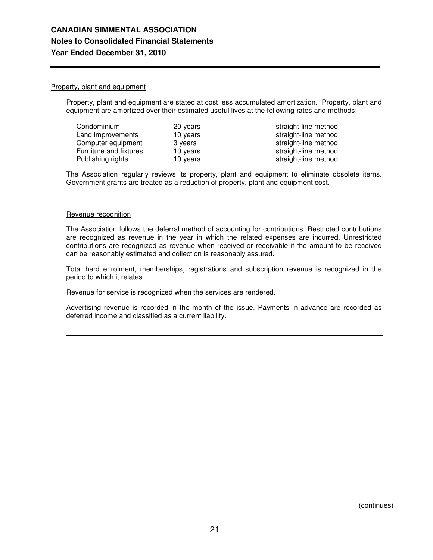## Property, plant and equipment

Property, plant and equipment are stated at cost less accumulated amortization. Property, plant and equipment are amortized over their estimated useful lives at the following rates and methods:

| Condominium            | 20 years |
|------------------------|----------|
| Land improvements      | 10 years |
| Computer equipment     | 3 years  |
| Furniture and fixtures | 10 years |
| Publishing rights      | 10 years |

straight-line method straight-line method straight-line method straight-line method straight-line method

The Association regularly reviews its property, plant and equipment to eliminate obsolete items. Government grants are treated as a reduction of property, plant and equipment cost.

### Revenue recognition

The Association follows the deferral method of accounting for contributions. Restricted contributions are recognized as revenue in the year in which the related expenses are incurred. Unrestricted contributions are recognized as revenue when received or receivable if the amount to be received can be reasonably estimated and collection is reasonably assured.

Total herd enrolment, memberships, registrations and subscription revenue is recognized in the period to which it relates.

Revenue for service is recognized when the services are rendered.

Advertising revenue is recorded in the month of the issue. Payments in advance are recorded as deferred income and classified as a current liability.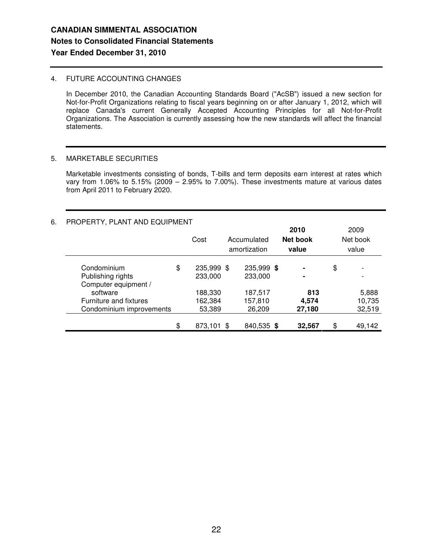## 4. FUTURE ACCOUNTING CHANGES

In December 2010, the Canadian Accounting Standards Board ("AcSB") issued a new section for Not-for-Profit Organizations relating to fiscal years beginning on or after January 1, 2012, which will replace Canada's current Generally Accepted Accounting Principles for all Not-for-Profit Organizations. The Association is currently assessing how the new standards will affect the financial statements.

## 5. MARKETABLE SECURITIES

Marketable investments consisting of bonds, T-bills and term deposits earn interest at rates which vary from 1.06% to 5.15% (2009 – 2.95% to 7.00%). These investments mature at various dates from April 2011 to February 2020.

## 6. PROPERTY, PLANT AND EQUIPMENT

|                               | Cost             | Accumulated<br>amortization | 2010<br><b>Net book</b><br>value | 2009<br>Net book<br>value |
|-------------------------------|------------------|-----------------------------|----------------------------------|---------------------------|
| Condominium                   | \$<br>235,999 \$ | 235,999 \$                  | $\blacksquare$                   | \$                        |
| Publishing rights             | 233,000          | 233,000                     | ۰                                |                           |
| Computer equipment /          |                  |                             |                                  |                           |
| software                      | 188,330          | 187,517                     | 813                              | 5,888                     |
| <b>Furniture and fixtures</b> | 162,384          | 157,810                     | 4,574                            | 10,735                    |
| Condominium improvements      | 53,389           | 26,209                      | 27,180                           | 32,519                    |
|                               | \$<br>873,101 \$ | 840,535 \$                  | 32,567                           | \$<br>49,142              |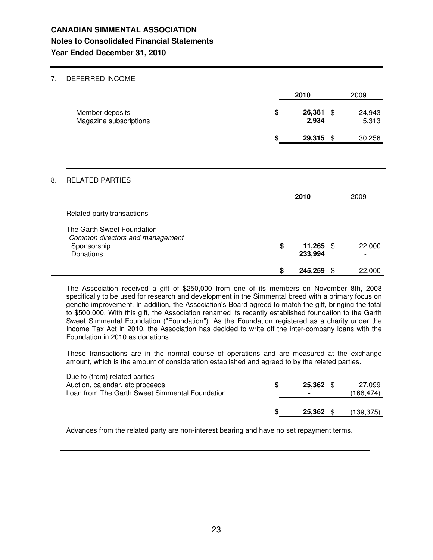## 7. DEFERRED INCOME

|    |                                                             | 2010                         |    | 2009            |  |
|----|-------------------------------------------------------------|------------------------------|----|-----------------|--|
|    | Member deposits<br>Magazine subscriptions                   | \$<br>26,381 \$<br>2,934     |    | 24,943<br>5,313 |  |
|    |                                                             | \$<br>29,315 \$              |    | 30,256          |  |
|    |                                                             |                              |    |                 |  |
| 8. | <b>RELATED PARTIES</b>                                      |                              |    |                 |  |
|    |                                                             | 2010                         |    | 2009            |  |
|    | Related party transactions                                  |                              |    |                 |  |
|    | The Garth Sweet Foundation                                  |                              |    |                 |  |
|    | Common directors and management<br>Sponsorship<br>Donations | \$<br>$11,265$ \$<br>233,994 |    | 22,000          |  |
|    |                                                             | \$<br>245,259                | \$ | 22,000          |  |

The Association received a gift of \$250,000 from one of its members on November 8th, 2008 specifically to be used for research and development in the Simmental breed with a primary focus on genetic improvement. In addition, the Association's Board agreed to match the gift, bringing the total to \$500,000. With this gift, the Association renamed its recently established foundation to the Garth Sweet Simmental Foundation ("Foundation"). As the Foundation registered as a charity under the Income Tax Act in 2010, the Association has decided to write off the inter-company loans with the Foundation in 2010 as donations.

These transactions are in the normal course of operations and are measured at the exchange amount, which is the amount of consideration established and agreed to by the related parties.

| Due to (from) related parties                  |                |           |
|------------------------------------------------|----------------|-----------|
| Auction, calendar, etc proceeds                | 25.362 \$      | 27.099    |
| Loan from The Garth Sweet Simmental Foundation | $\blacksquare$ | 166,474)  |
|                                                |                |           |
|                                                | 25.362         | (139,375) |
|                                                |                |           |

Advances from the related party are non-interest bearing and have no set repayment terms.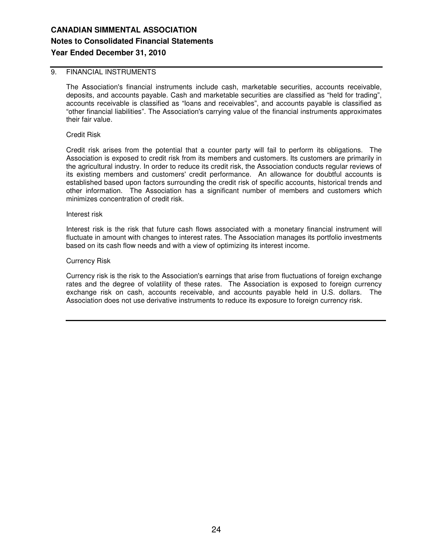## 9. FINANCIAL INSTRUMENTS

The Association's financial instruments include cash, marketable securities, accounts receivable, deposits, and accounts payable. Cash and marketable securities are classified as "held for trading", accounts receivable is classified as "loans and receivables", and accounts payable is classified as "other financial liabilities". The Association's carrying value of the financial instruments approximates their fair value.

Credit Risk

Credit risk arises from the potential that a counter party will fail to perform its obligations. The Association is exposed to credit risk from its members and customers. Its customers are primarily in the agricultural industry. In order to reduce its credit risk, the Association conducts regular reviews of its existing members and customers' credit performance. An allowance for doubtful accounts is established based upon factors surrounding the credit risk of specific accounts, historical trends and other information. The Association has a significant number of members and customers which minimizes concentration of credit risk.

Interest risk

Interest risk is the risk that future cash flows associated with a monetary financial instrument will fluctuate in amount with changes to interest rates. The Association manages its portfolio investments based on its cash flow needs and with a view of optimizing its interest income.

Currency Risk

Currency risk is the risk to the Association's earnings that arise from fluctuations of foreign exchange rates and the degree of volatility of these rates. The Association is exposed to foreign currency exchange risk on cash, accounts receivable, and accounts payable held in U.S. dollars. The Association does not use derivative instruments to reduce its exposure to foreign currency risk.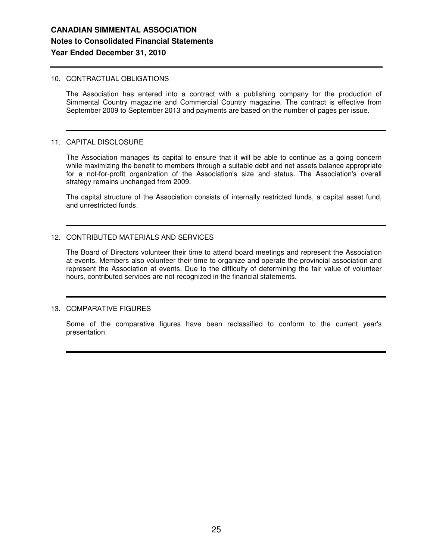### 10. CONTRACTUAL OBLIGATIONS

The Association has entered into a contract with a publishing company for the production of Simmental Country magazine and Commercial Country magazine. The contract is effective from September 2009 to September 2013 and payments are based on the number of pages per issue.

### 11. CAPITAL DISCLOSURE

The Association manages its capital to ensure that it will be able to continue as a going concern while maximizing the benefit to members through a suitable debt and net assets balance appropriate for a not-for-profit organization of the Association's size and status. The Association's overall strategy remains unchanged from 2009.

The capital structure of the Association consists of internally restricted funds, a capital asset fund, and unrestricted funds.

## 12. CONTRIBUTED MATERIALS AND SERVICES

The Board of Directors volunteer their time to attend board meetings and represent the Association at events. Members also volunteer their time to organize and operate the provincial association and represent the Association at events. Due to the difficulty of determining the fair value of volunteer hours, contributed services are not recognized in the financial statements.

## 13. COMPARATIVE FIGURES

Some of the comparative figures have been reclassified to conform to the current year's presentation.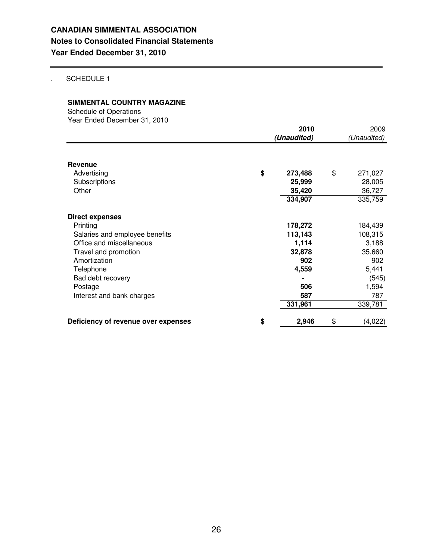## . SCHEDULE 1

## **SIMMENTAL COUNTRY MAGAZINE**

Schedule of Operations Year Ended December 31, 2010

|                                     | 2010<br>(Unaudited) | 2009<br>(Unaudited) |
|-------------------------------------|---------------------|---------------------|
|                                     |                     |                     |
| Revenue                             |                     |                     |
| Advertising                         | \$<br>273,488       | \$<br>271,027       |
| Subscriptions                       | 25,999              | 28,005              |
| Other                               | 35,420              | 36,727              |
|                                     | 334,907             | 335,759             |
| <b>Direct expenses</b>              |                     |                     |
| Printing                            | 178,272             | 184,439             |
| Salaries and employee benefits      | 113,143             | 108,315             |
| Office and miscellaneous            | 1,114               | 3,188               |
| Travel and promotion                | 32,878              | 35,660              |
| Amortization                        | 902                 | 902                 |
| Telephone                           | 4,559               | 5,441               |
| Bad debt recovery                   |                     | (545)               |
| Postage                             | 506                 | 1,594               |
| Interest and bank charges           | 587                 | 787                 |
|                                     | 331,961             | 339,781             |
| Deficiency of revenue over expenses | \$<br>2,946         | \$<br>(4,022)       |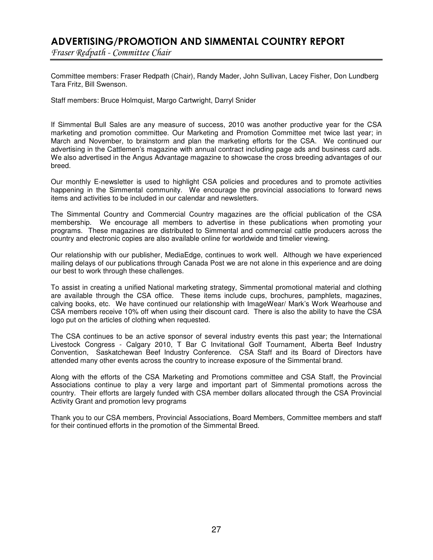# ADVERTISING/PROMOTION AND SIMMENTAL COUNTRY REPORT

Fraser Redpath - Committee Chair

Committee members: Fraser Redpath (Chair), Randy Mader, John Sullivan, Lacey Fisher, Don Lundberg Tara Fritz, Bill Swenson.

Staff members: Bruce Holmquist, Margo Cartwright, Darryl Snider

If Simmental Bull Sales are any measure of success, 2010 was another productive year for the CSA marketing and promotion committee. Our Marketing and Promotion Committee met twice last year; in March and November, to brainstorm and plan the marketing efforts for the CSA. We continued our advertising in the Cattlemen's magazine with annual contract including page ads and business card ads. We also advertised in the Angus Advantage magazine to showcase the cross breeding advantages of our breed.

Our monthly E-newsletter is used to highlight CSA policies and procedures and to promote activities happening in the Simmental community. We encourage the provincial associations to forward news items and activities to be included in our calendar and newsletters.

The Simmental Country and Commercial Country magazines are the official publication of the CSA membership. We encourage all members to advertise in these publications when promoting your programs. These magazines are distributed to Simmental and commercial cattle producers across the country and electronic copies are also available online for worldwide and timelier viewing.

Our relationship with our publisher, MediaEdge, continues to work well. Although we have experienced mailing delays of our publications through Canada Post we are not alone in this experience and are doing our best to work through these challenges.

To assist in creating a unified National marketing strategy, Simmental promotional material and clothing are available through the CSA office. These items include cups, brochures, pamphlets, magazines, calving books, etc. We have continued our relationship with ImageWear/ Mark's Work Wearhouse and CSA members receive 10% off when using their discount card. There is also the ability to have the CSA logo put on the articles of clothing when requested.

The CSA continues to be an active sponsor of several industry events this past year; the International Livestock Congress - Calgary 2010, T Bar C Invitational Golf Tournament, Alberta Beef Industry Convention, Saskatchewan Beef Industry Conference. CSA Staff and its Board of Directors have attended many other events across the country to increase exposure of the Simmental brand.

Along with the efforts of the CSA Marketing and Promotions committee and CSA Staff, the Provincial Associations continue to play a very large and important part of Simmental promotions across the country. Their efforts are largely funded with CSA member dollars allocated through the CSA Provincial Activity Grant and promotion levy programs

Thank you to our CSA members, Provincial Associations, Board Members, Committee members and staff for their continued efforts in the promotion of the Simmental Breed.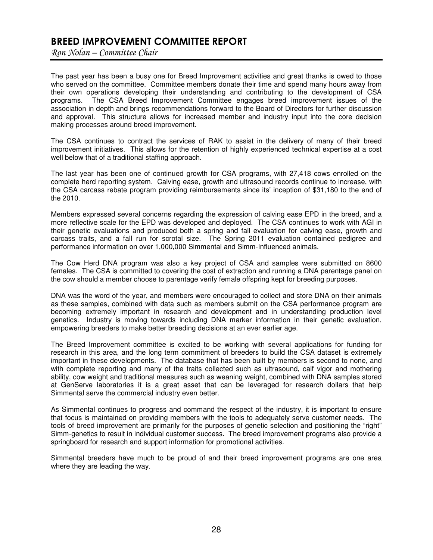# BREED IMPROVEMENT COMMITTEE REPORT

Ron Nolan - Committee Chair

The past year has been a busy one for Breed Improvement activities and great thanks is owed to those who served on the committee. Committee members donate their time and spend many hours away from their own operations developing their understanding and contributing to the development of CSA programs. The CSA Breed Improvement Committee engages breed improvement issues of the association in depth and brings recommendations forward to the Board of Directors for further discussion and approval. This structure allows for increased member and industry input into the core decision making processes around breed improvement.

The CSA continues to contract the services of RAK to assist in the delivery of many of their breed improvement initiatives. This allows for the retention of highly experienced technical expertise at a cost well below that of a traditional staffing approach.

The last year has been one of continued growth for CSA programs, with 27,418 cows enrolled on the complete herd reporting system. Calving ease, growth and ultrasound records continue to increase, with the CSA carcass rebate program providing reimbursements since its' inception of \$31,180 to the end of the 2010.

Members expressed several concerns regarding the expression of calving ease EPD in the breed, and a more reflective scale for the EPD was developed and deployed. The CSA continues to work with AGI in their genetic evaluations and produced both a spring and fall evaluation for calving ease, growth and carcass traits, and a fall run for scrotal size. The Spring 2011 evaluation contained pedigree and performance information on over 1,000,000 Simmental and Simm-Influenced animals.

The Cow Herd DNA program was also a key project of CSA and samples were submitted on 8600 females. The CSA is committed to covering the cost of extraction and running a DNA parentage panel on the cow should a member choose to parentage verify female offspring kept for breeding purposes.

DNA was the word of the year, and members were encouraged to collect and store DNA on their animals as these samples, combined with data such as members submit on the CSA performance program are becoming extremely important in research and development and in understanding production level genetics. Industry is moving towards including DNA marker information in their genetic evaluation, empowering breeders to make better breeding decisions at an ever earlier age.

The Breed Improvement committee is excited to be working with several applications for funding for research in this area, and the long term commitment of breeders to build the CSA dataset is extremely important in these developments. The database that has been built by members is second to none, and with complete reporting and many of the traits collected such as ultrasound, calf vigor and mothering ability, cow weight and traditional measures such as weaning weight, combined with DNA samples stored at GenServe laboratories it is a great asset that can be leveraged for research dollars that help Simmental serve the commercial industry even better.

As Simmental continues to progress and command the respect of the industry, it is important to ensure that focus is maintained on providing members with the tools to adequately serve customer needs. The tools of breed improvement are primarily for the purposes of genetic selection and positioning the "right" Simm-genetics to result in individual customer success. The breed improvement programs also provide a springboard for research and support information for promotional activities.

Simmental breeders have much to be proud of and their breed improvement programs are one area where they are leading the way.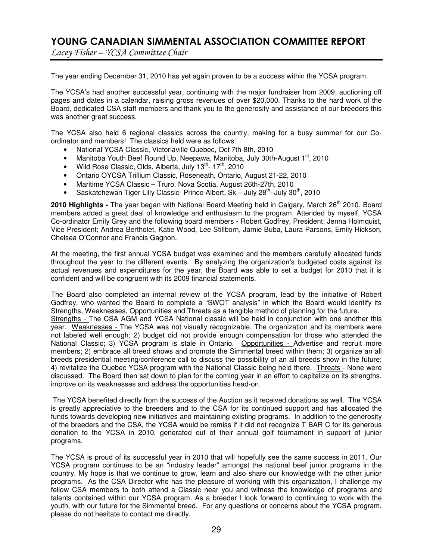# YOUNG CANADIAN SIMMENTAL ASSOCIATION COMMITTEE REPORT

Lacey Fisher - YCSA Committee Chair

The year ending December 31, 2010 has yet again proven to be a success within the YCSA program.

The YCSA's had another successful year, continuing with the major fundraiser from 2009; auctioning off pages and dates in a calendar, raising gross revenues of over \$20,000. Thanks to the hard work of the Board, dedicated CSA staff members and thank you to the generosity and assistance of our breeders this was another great success.

The YCSA also held 6 regional classics across the country, making for a busy summer for our Coordinator and members! The classics held were as follows:

- National YCSA Classic, Victoriaville Quebec, Oct 7th-8th, 2010
- Manitoba Youth Beef Round Up, Neepawa, Manitoba, July 30th-August 1<sup>st</sup>, 2010
- Wild Rose Classic, Olds, Alberta, July  $13^{th}$   $17^{th}$ , 2010
- Ontario OYCSA Trillium Classic, Roseneath, Ontario, August 21-22, 2010
- Maritime YCSA Classic Truro, Nova Scotia, August 26th-27th, 2010
- Saskatchewan Tiger Lilly Classic- Prince Albert,  $Sk July 28<sup>th</sup> July 30<sup>th</sup>$ , 2010

**2010 Highlights -** The year began with National Board Meeting held in Calgary, March 26 th 2010. Board members added a great deal of knowledge and enthusiasm to the program. Attended by myself, YCSA Co-ordinator Emily Grey and the following board members - Robert Godfrey, President; Jenna Holmquist, Vice President; Andrea Bertholet, Katie Wood, Lee Stillborn, Jamie Buba, Laura Parsons, Emily Hickson, Chelsea O'Connor and Francis Gagnon.

At the meeting, the first annual YCSA budget was examined and the members carefully allocated funds throughout the year to the different events. By analyzing the organization's budgeted costs against its actual revenues and expenditures for the year, the Board was able to set a budget for 2010 that it is confident and will be congruent with its 2009 financial statements.

The Board also completed an internal review of the YCSA program, lead by the initiative of Robert Godfrey, who wanted the Board to complete a "SWOT analysis" in which the Board would identify its Strengths, Weaknesses, Opportunities and Threats as a tangible method of planning for the future. Strengths - The CSA AGM and YCSA National classic will be held in conjunction with one another this year. Weaknesses - The YCSA was not visually recognizable. The organization and its members were not labeled well enough; 2) budget did not provide enough compensation for those who attended the National Classic; 3) YCSA program is stale in Ontario. Opportunities - Advertise and recruit more members; 2) embrace all breed shows and promote the Simmental breed within them; 3) organize an all breeds presidential meeting/conference call to discuss the possibility of an all breeds show in the future; 4) revitalize the Quebec YCSA program with the National Classic being held there. Threats - None were discussed. The Board then sat down to plan for the coming year in an effort to capitalize on its strengths, improve on its weaknesses and address the opportunities head-on.

The YCSA benefited directly from the success of the Auction as it received donations as well. The YCSA is greatly appreciative to the breeders and to the CSA for its continued support and has allocated the funds towards developing new initiatives and maintaining existing programs. In addition to the generosity of the breeders and the CSA, the YCSA would be remiss if it did not recognize T BAR C for its generous donation to the YCSA in 2010, generated out of their annual golf tournament in support of junior programs.

The YCSA is proud of its successful year in 2010 that will hopefully see the same success in 2011. Our YCSA program continues to be an "industry leader" amongst the national beef junior programs in the country. My hope is that we continue to grow, learn and also share our knowledge with the other junior programs. As the CSA Director who has the pleasure of working with this organization, I challenge my fellow CSA members to both attend a Classic near you and witness the knowledge of programs and talents contained within our YCSA program. As a breeder I look forward to continuing to work with the youth, with our future for the Simmental breed. For any questions or concerns about the YCSA program, please do not hesitate to contact me directly.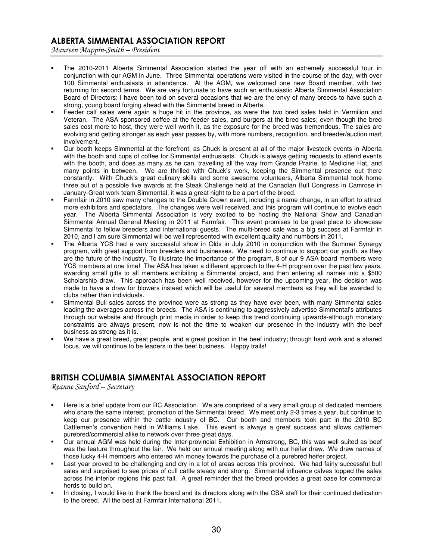## ALBERTA SIMMENTAL ASSOCIATION REPORT

Maureen Mappin-Smith - President

- The 2010-2011 Alberta Simmental Association started the year off with an extremely successful tour in conjunction with our AGM in June. Three Simmental operations were visited in the course of the day, with over 100 Simmental enthusiasts in attendance. At the AGM, we welcomed one new Board member, with two returning for second terms. We are very fortunate to have such an enthusiastic Alberta Simmental Association Board of Directors: I have been told on several occasions that we are the envy of many breeds to have such a strong, young board forging ahead with the Simmental breed in Alberta.
- Feeder calf sales were again a huge hit in the province, as were the two bred sales held in Vermilion and Veteran. The ASA sponsored coffee at the feeder sales, and burgers at the bred sales; even though the bred sales cost more to host, they were well worth it, as the exposure for the breed was tremendous. The sales are evolving and getting stronger as each year passes by, with more numbers, recognition, and breeder/auction mart involvement.
- Our booth keeps Simmental at the forefront, as Chuck is present at all of the major livestock events in Alberta with the booth and cups of coffee for Simmental enthusiasts. Chuck is always getting requests to attend events with the booth, and does as many as he can, travelling all the way from Grande Prairie, to Medicine Hat, and many points in between. We are thrilled with Chuck's work, keeping the Simmental presence out there constantly. With Chuck's great culinary skills and some awesome volunteers, Alberta Simmental took home three out of a possible five awards at the Steak Challenge held at the Canadian Bull Congress in Camrose in January-Great work team Simmental, it was a great night to be a part of the breed.
- Farmfair in 2010 saw many changes to the Double Crown event, including a name change, in an effort to attract more exhibitors and spectators. The changes were well received, and this program will continue to evolve each year. The Alberta Simmental Association is very excited to be hosting the National Show and Canadian Simmental Annual General Meeting in 2011 at Farmfair. This event promises to be great place to showcase Simmental to fellow breeders and international guests. The multi-breed sale was a big success at Farmfair in 2010, and I am sure Simmental will be well represented with excellent quality and numbers in 2011.
- The Alberta YCS had a very successful show in Olds in July 2010 in conjunction with the Summer Synergy program, with great support from breeders and businesses. We need to continue to support our youth, as they are the future of the industry. To illustrate the importance of the program, 8 of our 9 ASA board members were YCS members at one time! The ASA has taken a different approach to the 4-H program over the past few years, awarding small gifts to all members exhibiting a Simmental project, and then entering all names into a \$500 Scholarship draw. This approach has been well received, however for the upcoming year, the decision was made to have a draw for blowers instead which will be useful for several members as they will be awarded to clubs rather than individuals.
- Simmental Bull sales across the province were as strong as they have ever been, with many Simmental sales leading the averages across the breeds. The ASA is continuing to aggressively advertise Simmental's attributes through our website and through print media in order to keep this trend continuing upwards-although monetary constraints are always present, now is not the time to weaken our presence in the industry with the beef business as strong as it is.
- We have a great breed, great people, and a great position in the beef industry; through hard work and a shared focus, we will continue to be leaders in the beef business. Happy trails!

## BRITISH COLUMBIA SIMMENTAL ASSOCIATION REPORT

Reanne Sanford - Secretary

- Here is a brief update from our BC Association. We are comprised of a very small group of dedicated members who share the same interest, promotion of the Simmental breed. We meet only 2-3 times a year, but continue to keep our presence within the cattle industry of BC. Our booth and members took part in the 2010 BC Cattlemen's convention held in Williams Lake. This event is always a great success and allows cattlemen purebred/commercial alike to network over three great days.
- Our annual AGM was held during the Inter-provincial Exhibition in Armstrong, BC, this was well suited as beef was the feature throughout the fair. We held our annual meeting along with our heifer draw. We drew names of those lucky 4-H members who entered win money towards the purchase of a purebred heifer project.
- Last year proved to be challenging and dry in a lot of areas across this province. We had fairly successful bull sales and surprised to see prices of cull cattle steady and strong. Simmental influence calves topped the sales across the interior regions this past fall. A great reminder that the breed provides a great base for commercial herds to build on.
- In closing, I would like to thank the board and its directors along with the CSA staff for their continued dedication to the breed. All the best at Farmfair International 2011.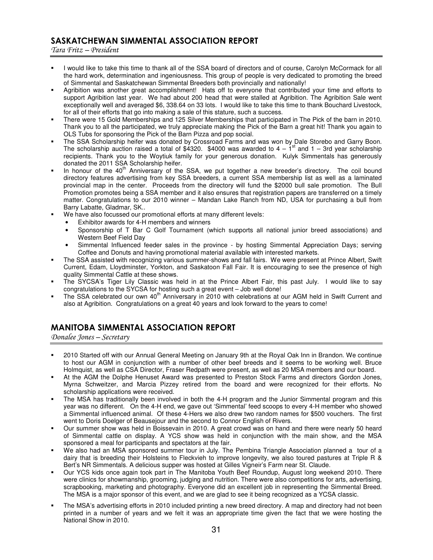## SASKATCHEWAN SIMMENTAL ASSOCIATION REPORT

Tara Fritz – President

- I would like to take this time to thank all of the SSA board of directors and of course, Carolyn McCormack for all the hard work, determination and ingeniousness. This group of people is very dedicated to promoting the breed of Simmental and Saskatchewan Simmental Breeders both provincially and nationally!
- Agribition was another great accomplishment! Hats off to everyone that contributed your time and efforts to support Agribition last year. We had about 200 head that were stalled at Agribition. The Agribition Sale went exceptionally well and averaged \$6, 338.64 on 33 lots. I would like to take this time to thank Bouchard Livestock, for all of their efforts that go into making a sale of this stature, such a success.
- There were 15 Gold Memberships and 125 Silver Memberships that participated in The Pick of the barn in 2010. Thank you to all the participated, we truly appreciate making the Pick of the Barn a great hit! Thank you again to OLS Tubs for sponsoring the Pick of the Barn Pizza and pop social.
- The SSA Scholarship heifer was donated by Crossroad Farms and was won by Dale Storebo and Garry Boon. The scholarship auction raised a total of \$4320. \$4000 was awarded to  $4 - 1$ <sup>st</sup> and  $1 - 3$ rd year scholarship recipients. Thank you to the Woytiuk family for your generous donation. Kulyk Simmentals has generously donated the 2011 SSA Scholarship heifer.
- In honour of the 40<sup>th</sup> Anniversary of the SSA, we put together a new breeder's directory. The coil bound directory features advertising from key SSA breeders, a current SSA membership list as well as a laminated provincial map in the center. Proceeds from the directory will fund the \$2000 bull sale promotion. The Bull Promotion promotes being a SSA member and it also ensures that registration papers are transferred on a timely matter. Congratulations to our 2010 winner – Mandan Lake Ranch from ND, USA for purchasing a bull from Barry Labatte, Gladmar, SK..
- We have also focussed our promotional efforts at many different levels:
	- Exhibitor awards for 4-H members and winners
	- Sponsorship of T Bar C Golf Tournament (which supports all national junior breed associations) and Western Beef Field Day
	- Simmental Influenced feeder sales in the province by hosting Simmental Appreciation Days; serving Coffee and Donuts and having promotional material available with interested markets.
- The SSA assisted with recognizing various summer-shows and fall fairs. We were present at Prince Albert, Swift Current, Edam, Lloydminster, Yorkton, and Saskatoon Fall Fair. It is encouraging to see the presence of high quality Simmental Cattle at these shows.
- The SYCSA's Tiger Lily Classic was held in at the Prince Albert Fair, this past July. I would like to say congratulations to the SYCSA for hosting such a great event – Job well done!
- " The SSA celebrated our own 40<sup>th</sup> Anniversary in 2010 with celebrations at our AGM held in Swift Current and also at Agribition. Congratulations on a great 40 years and look forward to the years to come!

## MANITOBA SIMMENTAL ASSOCIATION REPORT

Donalee Jones - Secretary

- 2010 Started off with our Annual General Meeting on January 9th at the Royal Oak Inn in Brandon. We continue to host our AGM in conjunction with a number of other beef breeds and it seems to be working well. Bruce Holmquist, as well as CSA Director, Fraser Redpath were present, as well as 20 MSA members and our board.
- At the AGM the Dolphe Henuset Award was presented to Preston Stock Farms and directors Gordon Jones, Myrna Schweitzer, and Marcia Pizzey retired from the board and were recognized for their efforts. No scholarship applications were received.
- The MSA has traditionally been involved in both the 4-H program and the Junior Simmental program and this year was no different. On the 4-H end, we gave out 'Simmental' feed scoops to every 4-H member who showed a Simmental influenced animal. Of these 4-Hers we also drew two random names for \$500 vouchers. The first went to Doris Doelger of Beausejour and the second to Connor English of Rivers.
- Our summer show was held in Boissevain in 2010. A great crowd was on hand and there were nearly 50 heard of Simmental cattle on display. A YCS show was held in conjunction with the main show, and the MSA sponsored a meal for participants and spectators at the fair.
- We also had an MSA sponsored summer tour in July. The Pembina Triangle Association planned a tour of a dairy that is breeding their Holsteins to Fleckvieh to improve longevity, we also toured pastures at Triple R & Bert's NR Simmentals. A delicious supper was hosted at Gilles Vigneir's Farm near St. Claude.
- Our YCS kids once again took part in The Manitoba Youth Beef Roundup, August long weekend 2010. There were clinics for showmanship, grooming, judging and nutrition. There were also competitions for arts, advertising, scrapbooking, marketing and photography. Everyone did an excellent job in representing the Simmental Breed. The MSA is a major sponsor of this event, and we are glad to see it being recognized as a YCSA classic.
- The MSA's advertising efforts in 2010 included printing a new breed directory. A map and directory had not been printed in a number of years and we felt it was an appropriate time given the fact that we were hosting the National Show in 2010.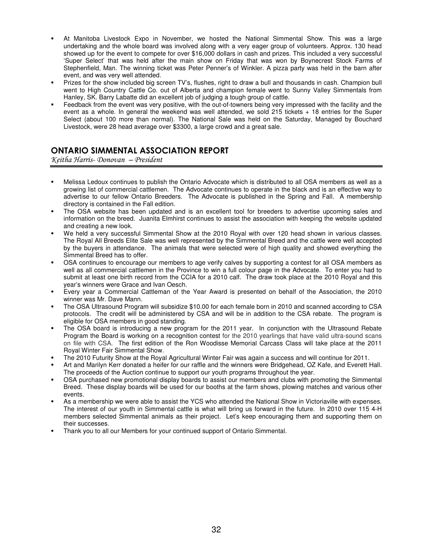- At Manitoba Livestock Expo in November, we hosted the National Simmental Show. This was a large undertaking and the whole board was involved along with a very eager group of volunteers. Approx. 130 head showed up for the event to compete for over \$16,000 dollars in cash and prizes. This included a very successful 'Super Select' that was held after the main show on Friday that was won by Boynecrest Stock Farms of Stephenfield, Man. The winning ticket was Peter Penner's of Winkler. A pizza party was held in the barn after event, and was very well attended.
- Prizes for the show included big screen TV's, flushes, right to draw a bull and thousands in cash. Champion bull went to High Country Cattle Co. out of Alberta and champion female went to Sunny Valley Simmentals from Hanley, SK. Barry Labatte did an excellent job of judging a tough group of cattle.
- Feedback from the event was very positive, with the out-of-towners being very impressed with the facility and the event as a whole. In general the weekend was well attended, we sold 215 tickets + 18 entries for the Super Select (about 100 more than normal). The National Sale was held on the Saturday, Managed by Bouchard Livestock, were 28 head average over \$3300, a large crowd and a great sale.

## ONTARIO SIMMENTAL ASSOCIATION REPORT

Keitha Harris- Donovan – President

- Melissa Ledoux continues to publish the Ontario Advocate which is distributed to all OSA members as well as a growing list of commercial cattlemen. The Advocate continues to operate in the black and is an effective way to advertise to our fellow Ontario Breeders. The Advocate is published in the Spring and Fall. A membership directory is contained in the Fall edition.
- The OSA website has been updated and is an excellent tool for breeders to advertise upcoming sales and information on the breed. Juanita Elmhirst continues to assist the association with keeping the website updated and creating a new look.
- We held a very successful Simmental Show at the 2010 Royal with over 120 head shown in various classes. The Royal All Breeds Elite Sale was well represented by the Simmental Breed and the cattle were well accepted by the buyers in attendance. The animals that were selected were of high quality and showed everything the Simmental Breed has to offer.
- OSA continues to encourage our members to age verify calves by supporting a contest for all OSA members as well as all commercial cattlemen in the Province to win a full colour page in the Advocate. To enter you had to submit at least one birth record from the CCIA for a 2010 calf. The draw took place at the 2010 Royal and this year's winners were Grace and Ivan Oesch.
- Every year a Commercial Cattleman of the Year Award is presented on behalf of the Association, the 2010 winner was Mr. Dave Mann.
- The OSA Ultrasound Program will subsidize \$10.00 for each female born in 2010 and scanned according to CSA protocols. The credit will be administered by CSA and will be in addition to the CSA rebate. The program is eligible for OSA members in good standing.
- The OSA board is introducing a new program for the 2011 year. In conjunction with the Ultrasound Rebate Program the Board is working on a recognition contest for the 2010 yearlings that have valid ultra-sound scans on file with CSA. The first edition of the Ron Woodisse Memorial Carcass Class will take place at the 2011 Royal Winter Fair Simmental Show.
- The 2010 Futurity Show at the Royal Agricultural Winter Fair was again a success and will continue for 2011.
- Art and Marilyn Kerr donated a heifer for our raffle and the winners were Bridgehead, OZ Kafe, and Everett Hall. The proceeds of the Auction continue to support our youth programs throughout the year.
- OSA purchased new promotional display boards to assist our members and clubs with promoting the Simmental Breed. These display boards will be used for our booths at the farm shows, plowing matches and various other events.
- As a membership we were able to assist the YCS who attended the National Show in Victoriaville with expenses. The interest of our youth in Simmental cattle is what will bring us forward in the future. In 2010 over 115 4-H members selected Simmental animals as their project. Let's keep encouraging them and supporting them on their successes.
- Thank you to all our Members for your continued support of Ontario Simmental.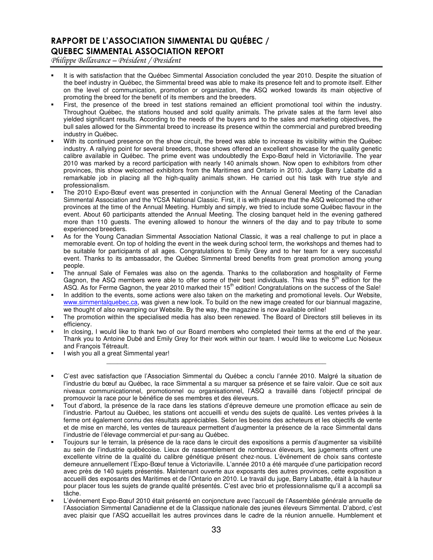## RAPPORT DE L'ASSOCIATION SIMMENTAL DU QUÉBEC / QUEBEC SIMMENTAL ASSOCIATION REPORT

Philippe Bellavance – Président / President

- It is with satisfaction that the Québec Simmental Association concluded the year 2010. Despite the situation of the beef industry in Québec, the Simmental breed was able to make its presence felt and to promote itself. Either on the level of communication, promotion or organization, the ASQ worked towards its main objective of promoting the breed for the benefit of its members and the breeders.
- First, the presence of the breed in test stations remained an efficient promotional tool within the industry. Throughout Québec, the stations housed and sold quality animals. The private sales at the farm level also yielded significant results. According to the needs of the buyers and to the sales and marketing objectives, the bull sales allowed for the Simmental breed to increase its presence within the commercial and purebred breeding industry in Québec.
- With its continued presence on the show circuit, the breed was able to increase its visibility within the Québec industry. A rallying point for several breeders, those shows offered an excellent showcase for the quality genetic calibre available in Québec. The prime event was undoubtedly the Expo-Bœuf held in Victoriaville. The year 2010 was marked by a record participation with nearly 140 animals shown. Now open to exhibitors from other provinces, this show welcomed exhibitors from the Maritimes and Ontario in 2010. Judge Barry Labatte did a remarkable job in placing all the high-quality animals shown. He carried out his task with true style and professionalism.
- The 2010 Expo-Bœuf event was presented in conjunction with the Annual General Meeting of the Canadian Simmental Association and the YCSA National Classic. First, it is with pleasure that the ASQ welcomed the other provinces at the time of the Annual Meeting. Humbly and simply, we tried to include some Québec flavour in the event. About 60 participants attended the Annual Meeting. The closing banquet held in the evening gathered more than 110 guests. The evening allowed to honour the winners of the day and to pay tribute to some experienced breeders.
- As for the Young Canadian Simmental Association National Classic, it was a real challenge to put in place a memorable event. On top of holding the event in the week during school term, the workshops and themes had to be suitable for participants of all ages. Congratulations to Emily Grey and to her team for a very successful event. Thanks to its ambassador, the Québec Simmental breed benefits from great promotion among young people.
- The annual Sale of Females was also on the agenda. Thanks to the collaboration and hospitality of Ferme Gagnon, the ASQ members were able to offer some of their best individuals. This was the  $5<sup>th</sup>$  edition for the ASQ. As for Ferme Gagnon, the year 2010 marked their 15<sup>th</sup> edition! Congratulations on the success of the Sale!
- In addition to the events, some actions were also taken on the marketing and promotional levels. Our Website, www.simmentalquebec.ca, was given a new look. To build on the new image created for our biannual magazine, we thought of also revamping our Website. By the way, the magazine is now available online!
- The promotion within the specialised media has also been renewed. The Board of Directors still believes in its efficiency.
- In closing, I would like to thank two of our Board members who completed their terms at the end of the year. Thank you to Antoine Dubé and Emily Grey for their work within our team. I would like to welcome Luc Noiseux and François Tétreault.

\_\_\_\_\_\_\_\_\_\_\_\_\_\_\_\_\_\_\_\_\_\_\_\_\_\_\_\_\_\_\_\_\_\_\_\_\_\_\_\_\_\_\_\_\_\_\_\_\_\_\_\_\_\_\_\_\_\_\_\_\_\_

- I wish you all a great Simmental year!
- C'est avec satisfaction que l'Association Simmental du Québec a conclu l'année 2010. Malgré la situation de l'industrie du bœuf au Québec, la race Simmental a su marquer sa présence et se faire valoir. Que ce soit aux niveaux communicationnel, promotionnel ou organisationnel, l'ASQ a travaillé dans l'objectif principal de promouvoir la race pour le bénéfice de ses membres et des éleveurs.
- Tout d'abord, la présence de la race dans les stations d'épreuve demeure une promotion efficace au sein de l'industrie. Partout au Québec, les stations ont accueilli et vendu des sujets de qualité. Les ventes privées à la ferme ont également connu des résultats appréciables. Selon les besoins des acheteurs et les objectifs de vente et de mise en marché, les ventes de taureaux permettent d'augmenter la présence de la race Simmental dans l'industrie de l'élevage commercial et pur-sang au Québec.
- Toujours sur le terrain, la présence de la race dans le circuit des expositions a permis d'augmenter sa visibilité au sein de l'industrie québécoise. Lieux de rassemblement de nombreux éleveurs, les jugements offrent une excellente vitrine de la qualité du calibre génétique présent chez-nous. L'événement de choix sans conteste demeure annuellement l'Expo-Bœuf tenue à Victoriaville. L'année 2010 a été marquée d'une participation record avec près de 140 sujets présentés. Maintenant ouverte aux exposants des autres provinces, cette exposition a accueilli des exposants des Maritimes et de l'Ontario en 2010. Le travail du juge, Barry Labatte, était à la hauteur pour placer tous les sujets de grande qualité présentés. C'est avec brio et professionnalisme qu'il a accompli sa tâche.
- L'événement Expo-Bœuf 2010 était présenté en conjoncture avec l'accueil de l'Assemblée générale annuelle de l'Association Simmental Canadienne et de la Classique nationale des jeunes éleveurs Simmental. D'abord, c'est avec plaisir que l'ASQ accueillait les autres provinces dans le cadre de la réunion annuelle. Humblement et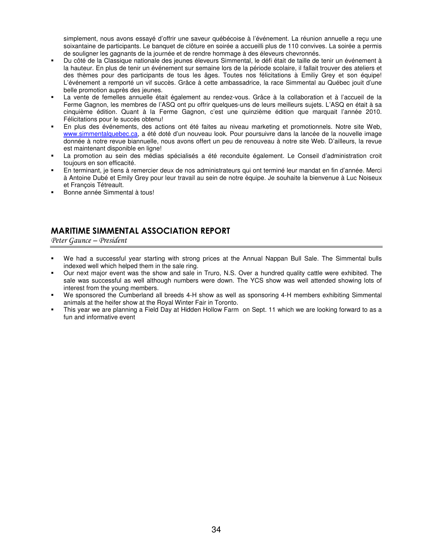simplement, nous avons essayé d'offrir une saveur québécoise à l'événement. La réunion annuelle a reçu une soixantaine de participants. Le banquet de clôture en soirée a accueilli plus de 110 convives. La soirée a permis de souligner les gagnants de la journée et de rendre hommage à des éleveurs chevronnés.

- Du côté de la Classique nationale des jeunes éleveurs Simmental, le défi était de taille de tenir un événement à la hauteur. En plus de tenir un événement sur semaine lors de la période scolaire, il fallait trouver des ateliers et des thèmes pour des participants de tous les âges. Toutes nos félicitations à Emiliy Grey et son équipe! L'événement a remporté un vif succès. Grâce à cette ambassadrice, la race Simmental au Québec jouit d'une belle promotion auprès des jeunes.
- La vente de femelles annuelle était également au rendez-vous. Grâce à la collaboration et à l'accueil de la Ferme Gagnon, les membres de l'ASQ ont pu offrir quelques-uns de leurs meilleurs sujets. L'ASQ en était à sa cinquième édition. Quant à la Ferme Gagnon, c'est une quinzième édition que marquait l'année 2010. Félicitations pour le succès obtenu!
- En plus des événements, des actions ont été faites au niveau marketing et promotionnels. Notre site Web, www.simmentalquebec.ca, a été doté d'un nouveau look. Pour poursuivre dans la lancée de la nouvelle image donnée à notre revue biannuelle, nous avons offert un peu de renouveau à notre site Web. D'ailleurs, la revue est maintenant disponible en ligne!
- La promotion au sein des médias spécialisés a été reconduite également. Le Conseil d'administration croit toujours en son efficacité.
- En terminant, je tiens à remercier deux de nos administrateurs qui ont terminé leur mandat en fin d'année. Merci à Antoine Dubé et Emily Grey pour leur travail au sein de notre équipe. Je souhaite la bienvenue à Luc Noiseux et François Tétreault.
- Bonne année Simmental à tous!

## MARITIME SIMMENTAL ASSOCIATION REPORT

Peter Gaunce – President

- We had a successful year starting with strong prices at the Annual Nappan Bull Sale. The Simmental bulls indexed well which helped them in the sale ring.
- Our next major event was the show and sale in Truro, N.S. Over a hundred quality cattle were exhibited. The sale was successful as well although numbers were down. The YCS show was well attended showing lots of interest from the young members.
- We sponsored the Cumberland all breeds 4-H show as well as sponsoring 4-H members exhibiting Simmental animals at the heifer show at the Royal Winter Fair in Toronto.
- This year we are planning a Field Day at Hidden Hollow Farm on Sept. 11 which we are looking forward to as a fun and informative event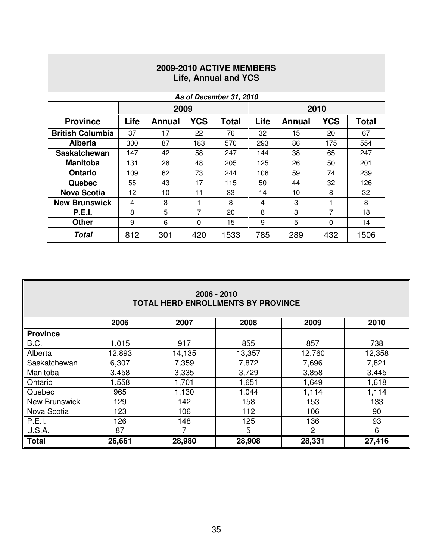| 2009-2010 ACTIVE MEMBERS<br>Life, Annual and YCS |      |                                                                                             |          |      |                        |     |     |      |  |  |  |
|--------------------------------------------------|------|---------------------------------------------------------------------------------------------|----------|------|------------------------|-----|-----|------|--|--|--|
| As of December 31, 2010                          |      |                                                                                             |          |      |                        |     |     |      |  |  |  |
|                                                  |      | 2010<br>2009                                                                                |          |      |                        |     |     |      |  |  |  |
| <b>Province</b>                                  | Life | <b>YCS</b><br>Life<br><b>YCS</b><br><b>Total</b><br><b>Annual</b><br>Total<br><b>Annual</b> |          |      |                        |     |     |      |  |  |  |
| <b>British Columbia</b>                          | 37   | 17                                                                                          | 22       | 76   | 32                     | 15  | 20  | 67   |  |  |  |
| <b>Alberta</b>                                   | 300  | 87                                                                                          | 183      | 570  | 293                    | 86  | 175 | 554  |  |  |  |
| <b>Saskatchewan</b>                              | 147  | 42                                                                                          | 58       | 247  | 144<br>38<br>247<br>65 |     |     |      |  |  |  |
| <b>Manitoba</b>                                  | 131  | 26                                                                                          | 48       | 205  | 125<br>26<br>201<br>50 |     |     |      |  |  |  |
| <b>Ontario</b>                                   | 109  | 62                                                                                          | 73       | 244  | 239<br>106<br>59<br>74 |     |     |      |  |  |  |
| Quebec                                           | 55   | 43                                                                                          | 17       | 115  | 50                     | 44  | 32  | 126  |  |  |  |
| <b>Nova Scotia</b>                               | 12   | 10                                                                                          | 11       | 33   | 14                     | 10  | 8   | 32   |  |  |  |
| <b>New Brunswick</b>                             | 4    | 3                                                                                           | 1        | 8    | 4                      | 3   | 1   | 8    |  |  |  |
| <b>P.E.I.</b>                                    | 8    | 5                                                                                           | 7        | 20   | 8                      | 3   | 7   | 18   |  |  |  |
| <b>Other</b>                                     | 9    | 6                                                                                           | $\Omega$ | 15   | 5<br>9<br>0<br>14      |     |     |      |  |  |  |
| <b>Total</b>                                     | 812  | 301                                                                                         | 420      | 1533 | 785                    | 289 | 432 | 1506 |  |  |  |

Γ

## **2006 - 2010 TOTAL HERD ENROLLMENTS BY PROVINCE**

|                      | 2006   | 2007   | 2008   | 2009   | 2010   |  |
|----------------------|--------|--------|--------|--------|--------|--|
| <b>Province</b>      |        |        |        |        |        |  |
| B.C.                 | 1,015  | 917    | 855    | 857    | 738    |  |
| Alberta              | 12,893 | 14,135 | 13,357 | 12,760 | 12,358 |  |
| Saskatchewan         | 6,307  | 7,359  | 7,872  | 7,696  | 7,821  |  |
| Manitoba             | 3,458  | 3,335  | 3,729  | 3,858  | 3,445  |  |
| Ontario              | 1,558  | 1,701  | 1,651  | 1,649  | 1,618  |  |
| Quebec               | 965    | 1,130  | 1,044  | 1,114  | 1,114  |  |
| <b>New Brunswick</b> | 129    | 142    | 158    | 153    | 133    |  |
| Nova Scotia          | 123    | 106    | 112    | 106    | 90     |  |
| P.E.I.               | 126    | 148    | 125    | 136    | 93     |  |
| U.S.A.               | 87     | ⇁      | 5      | 2      | 6      |  |
| <b>Total</b>         | 26,661 | 28,980 | 28,908 | 28,331 | 27,416 |  |